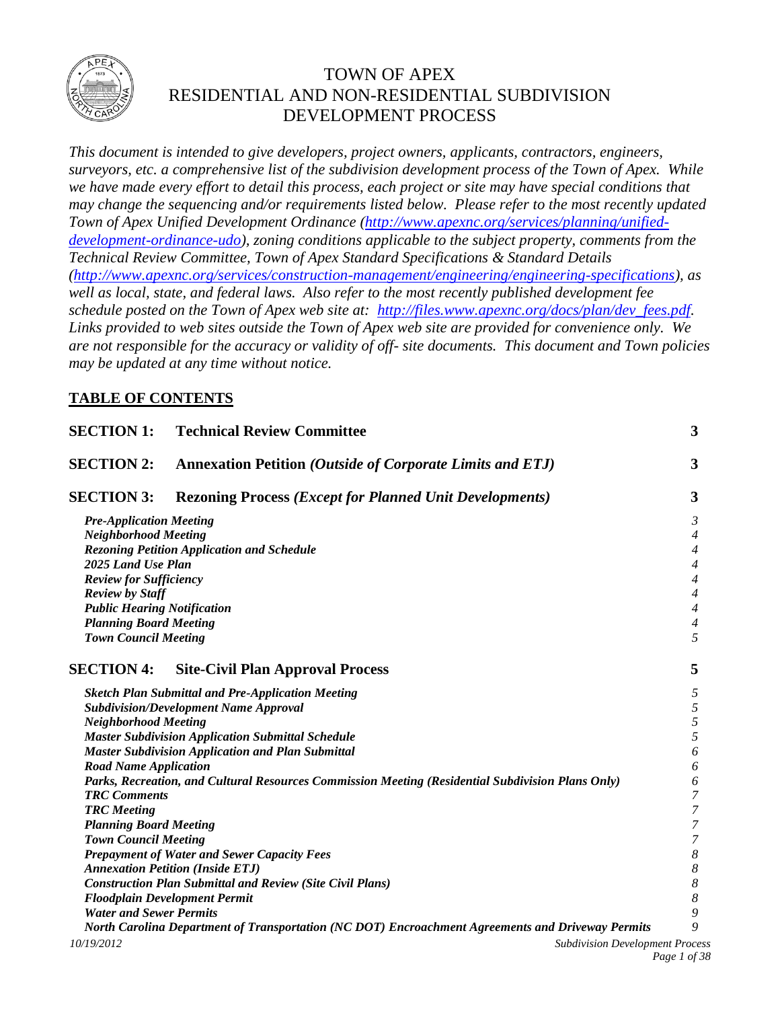

## TOWN OF APEX RESIDENTIAL AND NON-RESIDENTIAL SUBDIVISION DEVELOPMENT PROCESS

*This document is intended to give developers, project owners, applicants, contractors, engineers, surveyors, etc. a comprehensive list of the subdivision development process of the Town of Apex. While we have made every effort to detail this process, each project or site may have special conditions that may change the sequencing and/or requirements listed below. Please refer to the most recently updated Town of Apex Unified Development Ordinance [\(http://www.apexnc.org/services/planning/unified](http://www.apexnc.org/services/planning/unified-development-ordinance-udo)[development-ordinance-udo\)](http://www.apexnc.org/services/planning/unified-development-ordinance-udo), zoning conditions applicable to the subject property, comments from the Technical Review Committee, Town of Apex Standard Specifications & Standard Details [\(http://www.apexnc.org/services/construction-management/engineering/engineering-specifications\)](http://www.apexnc.org/services/construction-management/engineering/engineering-specifications), as well as local, state, and federal laws. Also refer to the most recently published development fee schedule posted on the Town of Apex web site at: [http://files.www.apexnc.org/docs/plan/dev\\_fees.pdf.](http://files.www.apexnc.org/docs/plan/dev_fees.pdf) Links provided to web sites outside the Town of Apex web site are provided for convenience only. We are not responsible for the accuracy or validity of off- site documents. This document and Town policies may be updated at any time without notice.*

## **TABLE OF CONTENTS**

| <b>SECTION 1:</b><br><b>Technical Review Committee</b><br><b>SECTION 2:</b><br><b>Annexation Petition (Outside of Corporate Limits and ETJ)</b> |                                                                                                   |                  |  |  |                   |
|-------------------------------------------------------------------------------------------------------------------------------------------------|---------------------------------------------------------------------------------------------------|------------------|--|--|-------------------|
|                                                                                                                                                 |                                                                                                   |                  |  |  | <b>SECTION 3:</b> |
| <b>Pre-Application Meeting</b>                                                                                                                  |                                                                                                   | 3                |  |  |                   |
| <b>Neighborhood Meeting</b>                                                                                                                     |                                                                                                   |                  |  |  |                   |
| <b>Rezoning Petition Application and Schedule</b>                                                                                               |                                                                                                   |                  |  |  |                   |
| 2025 Land Use Plan                                                                                                                              |                                                                                                   |                  |  |  |                   |
| <b>Review for Sufficiency</b>                                                                                                                   |                                                                                                   |                  |  |  |                   |
| <b>Review by Staff</b>                                                                                                                          |                                                                                                   | $\overline{4}$   |  |  |                   |
| <b>Public Hearing Notification</b>                                                                                                              |                                                                                                   |                  |  |  |                   |
|                                                                                                                                                 | <b>Planning Board Meeting</b>                                                                     |                  |  |  |                   |
| <b>Town Council Meeting</b>                                                                                                                     |                                                                                                   | 5                |  |  |                   |
| <b>SECTION 4:</b>                                                                                                                               | <b>Site-Civil Plan Approval Process</b>                                                           | 5                |  |  |                   |
|                                                                                                                                                 | <b>Sketch Plan Submittal and Pre-Application Meeting</b>                                          | 5<br>5           |  |  |                   |
| <b>Subdivision/Development Name Approval</b>                                                                                                    |                                                                                                   |                  |  |  |                   |
|                                                                                                                                                 | <b>Neighborhood Meeting</b>                                                                       |                  |  |  |                   |
|                                                                                                                                                 | <b>Master Subdivision Application Submittal Schedule</b>                                          | 5                |  |  |                   |
|                                                                                                                                                 | <b>Master Subdivision Application and Plan Submittal</b>                                          | 6                |  |  |                   |
| <b>Road Name Application</b>                                                                                                                    |                                                                                                   | 6                |  |  |                   |
| Parks, Recreation, and Cultural Resources Commission Meeting (Residential Subdivision Plans Only)                                               |                                                                                                   |                  |  |  |                   |
| <b>TRC</b> Comments                                                                                                                             |                                                                                                   | 7                |  |  |                   |
| <b>TRC</b> Meeting                                                                                                                              |                                                                                                   | 7                |  |  |                   |
| <b>Planning Board Meeting</b>                                                                                                                   |                                                                                                   | 7                |  |  |                   |
| <b>Town Council Meeting</b>                                                                                                                     |                                                                                                   | 7                |  |  |                   |
|                                                                                                                                                 | <b>Prepayment of Water and Sewer Capacity Fees</b>                                                | 8                |  |  |                   |
|                                                                                                                                                 | <b>Annexation Petition (Inside ETJ)</b>                                                           | $\boldsymbol{8}$ |  |  |                   |
|                                                                                                                                                 | <b>Construction Plan Submittal and Review (Site Civil Plans)</b>                                  | 8                |  |  |                   |
|                                                                                                                                                 | <b>Floodplain Development Permit</b>                                                              | 8                |  |  |                   |
| <b>Water and Sewer Permits</b>                                                                                                                  |                                                                                                   | 9                |  |  |                   |
|                                                                                                                                                 | North Carolina Department of Transportation (NC DOT) Encroachment Agreements and Driveway Permits | 9                |  |  |                   |
| 10/19/2012                                                                                                                                      | <b>Subdivision Development Process</b>                                                            |                  |  |  |                   |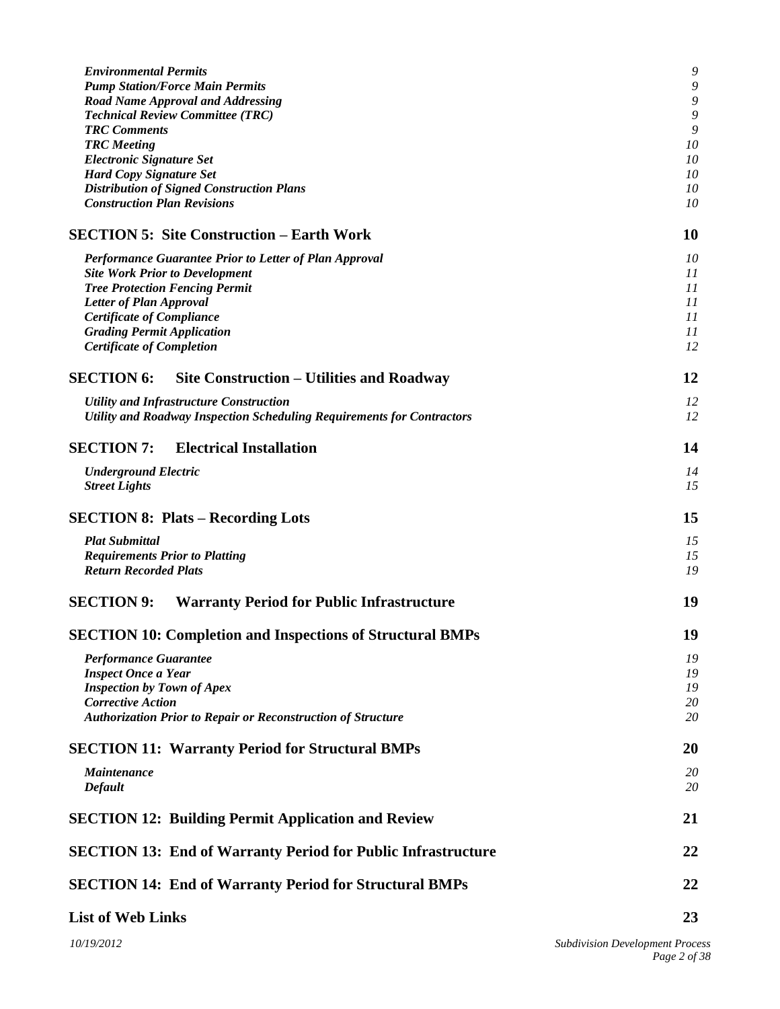| <b>Environmental Permits</b><br><b>Pump Station/Force Main Permits</b><br><b>Road Name Approval and Addressing</b><br><b>Technical Review Committee (TRC)</b><br><b>TRC</b> Comments<br><b>TRC</b> Meeting | 9<br>9<br>9<br>9<br>9<br>10 |  |
|------------------------------------------------------------------------------------------------------------------------------------------------------------------------------------------------------------|-----------------------------|--|
| <b>Electronic Signature Set</b>                                                                                                                                                                            | 10                          |  |
| <b>Hard Copy Signature Set</b>                                                                                                                                                                             | 10                          |  |
| <b>Distribution of Signed Construction Plans</b>                                                                                                                                                           | 10                          |  |
| <b>Construction Plan Revisions</b>                                                                                                                                                                         | 10                          |  |
| <b>SECTION 5: Site Construction – Earth Work</b>                                                                                                                                                           | 10                          |  |
| Performance Guarantee Prior to Letter of Plan Approval                                                                                                                                                     | 10                          |  |
| <b>Site Work Prior to Development</b>                                                                                                                                                                      | 11                          |  |
| <b>Tree Protection Fencing Permit</b>                                                                                                                                                                      | 11                          |  |
| Letter of Plan Approval                                                                                                                                                                                    | 11                          |  |
| <b>Certificate of Compliance</b><br><b>Grading Permit Application</b>                                                                                                                                      | 11<br>11                    |  |
| <b>Certificate of Completion</b>                                                                                                                                                                           | 12                          |  |
| <b>SECTION 6:</b><br>Site Construction – Utilities and Roadway                                                                                                                                             | 12                          |  |
|                                                                                                                                                                                                            |                             |  |
| <b>Utility and Infrastructure Construction</b><br>Utility and Roadway Inspection Scheduling Requirements for Contractors                                                                                   | 12<br>12                    |  |
| <b>SECTION 7:</b><br><b>Electrical Installation</b>                                                                                                                                                        | 14                          |  |
| <b>Underground Electric</b>                                                                                                                                                                                | 14                          |  |
| <b>Street Lights</b>                                                                                                                                                                                       | 15                          |  |
| <b>SECTION 8: Plats – Recording Lots</b>                                                                                                                                                                   | 15                          |  |
| <b>Plat Submittal</b>                                                                                                                                                                                      | 15                          |  |
| <b>Requirements Prior to Platting</b>                                                                                                                                                                      | 15                          |  |
| <b>Return Recorded Plats</b>                                                                                                                                                                               | 19                          |  |
| <b>SECTION 9:</b><br><b>Warranty Period for Public Infrastructure</b>                                                                                                                                      | 19                          |  |
| <b>SECTION 10: Completion and Inspections of Structural BMPs</b>                                                                                                                                           | 19                          |  |
| Performance Guarantee                                                                                                                                                                                      | 19                          |  |
| <b>Inspect Once a Year</b>                                                                                                                                                                                 | 19                          |  |
| <b>Inspection by Town of Apex</b>                                                                                                                                                                          | 19                          |  |
| <b>Corrective Action</b><br><b>Authorization Prior to Repair or Reconstruction of Structure</b>                                                                                                            | 20<br>20                    |  |
|                                                                                                                                                                                                            |                             |  |
| <b>SECTION 11: Warranty Period for Structural BMPs</b>                                                                                                                                                     | 20                          |  |
| <i>Maintenance</i>                                                                                                                                                                                         | <i>20</i>                   |  |
| <b>Default</b>                                                                                                                                                                                             | 20                          |  |
| <b>SECTION 12: Building Permit Application and Review</b>                                                                                                                                                  | 21                          |  |
| <b>SECTION 13: End of Warranty Period for Public Infrastructure</b>                                                                                                                                        | 22                          |  |
| <b>SECTION 14: End of Warranty Period for Structural BMPs</b>                                                                                                                                              | 22                          |  |
| <b>List of Web Links</b>                                                                                                                                                                                   |                             |  |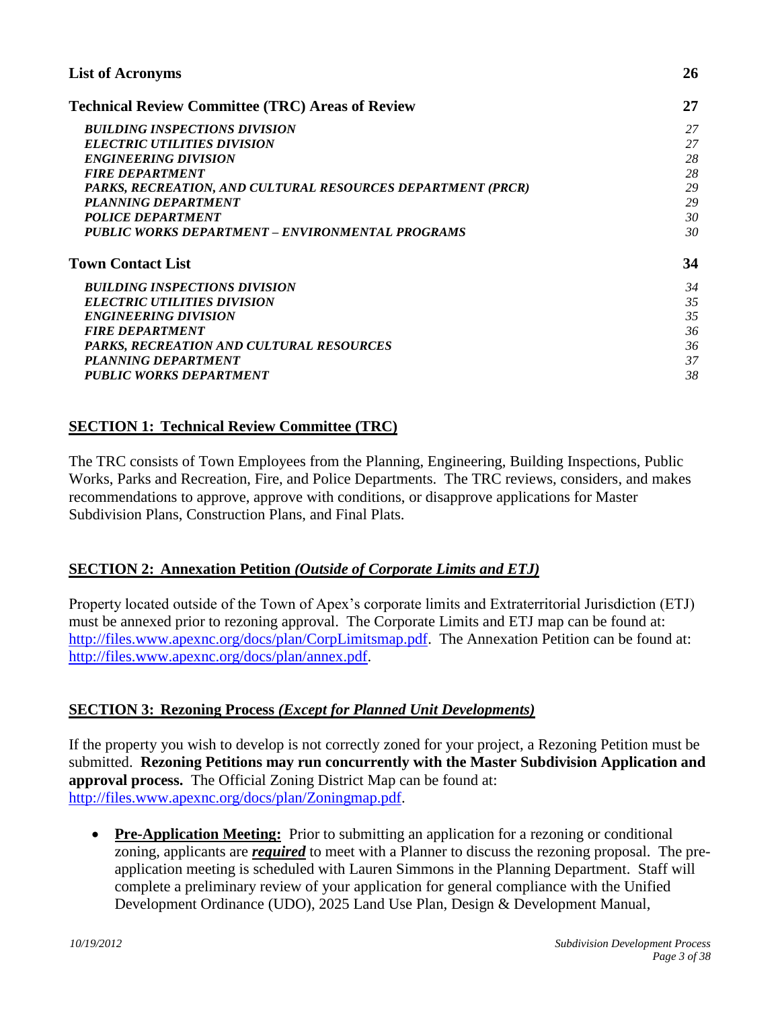| <b>List of Acronyms</b><br><b>Technical Review Committee (TRC) Areas of Review</b> |    |  |
|------------------------------------------------------------------------------------|----|--|
|                                                                                    |    |  |
| <b>ELECTRIC UTILITIES DIVISION</b>                                                 | 27 |  |
| <b>ENGINEERING DIVISION</b>                                                        | 28 |  |
| <b>FIRE DEPARTMENT</b>                                                             | 28 |  |
| PARKS, RECREATION, AND CULTURAL RESOURCES DEPARTMENT (PRCR)                        | 29 |  |
| PLANNING DEPARTMENT                                                                | 29 |  |
| <b>POLICE DEPARTMENT</b>                                                           | 30 |  |
| PUBLIC WORKS DEPARTMENT – ENVIRONMENTAL PROGRAMS                                   | 30 |  |
| <b>Town Contact List</b>                                                           | 34 |  |
| <b>BUILDING INSPECTIONS DIVISION</b>                                               | 34 |  |
| <b>ELECTRIC UTILITIES DIVISION</b>                                                 | 35 |  |
| <b>ENGINEERING DIVISION</b>                                                        | 35 |  |
| <b>FIRE DEPARTMENT</b>                                                             | 36 |  |
| PARKS, RECREATION AND CULTURAL RESOURCES                                           | 36 |  |
| PLANNING DEPARTMENT                                                                | 37 |  |
| <b>PUBLIC WORKS DEPARTMENT</b>                                                     | 38 |  |

## <span id="page-2-0"></span>**SECTION 1: Technical Review Committee (TRC)**

The TRC consists of Town Employees from the Planning, Engineering, Building Inspections, Public Works, Parks and Recreation, Fire, and Police Departments. The TRC reviews, considers, and makes recommendations to approve, approve with conditions, or disapprove applications for Master Subdivision Plans, Construction Plans, and Final Plats.

## <span id="page-2-1"></span>**SECTION 2: Annexation Petition** *(Outside of Corporate Limits and ETJ)*

Property located outside of the Town of Apex's corporate limits and Extraterritorial Jurisdiction (ETJ) must be annexed prior to rezoning approval. The Corporate Limits and ETJ map can be found at: [http://files.www.apexnc.org/docs/plan/CorpLimitsmap.pdf.](http://files.www.apexnc.org/docs/plan/CorpLimitsmap.pdf) The Annexation Petition can be found at: [http://files.www.apexnc.org/docs/plan/annex.pdf.](http://files.www.apexnc.org/docs/plan/annex.pdf)

## **SECTION 3: Rezoning Process** *(Except for Planned Unit Developments)*

If the property you wish to develop is not correctly zoned for your project, a Rezoning Petition must be submitted. **Rezoning Petitions may run concurrently with the Master Subdivision Application and approval process.** The Official Zoning District Map can be found at: [http://files.www.apexnc.org/docs/plan/Zoningmap.pdf.](http://files.www.apexnc.org/docs/plan/Zoningmap.pdf)

<span id="page-2-3"></span><span id="page-2-2"></span>• **Pre-Application Meeting:** Prior to submitting an application for a rezoning or conditional zoning, applicants are *required* to meet with a Planner to discuss the rezoning proposal. The preapplication meeting is scheduled with Lauren Simmons in the Planning Department. Staff will complete a preliminary review of your application for general compliance with the Unified Development Ordinance (UDO), 2025 Land Use Plan, Design & Development Manual,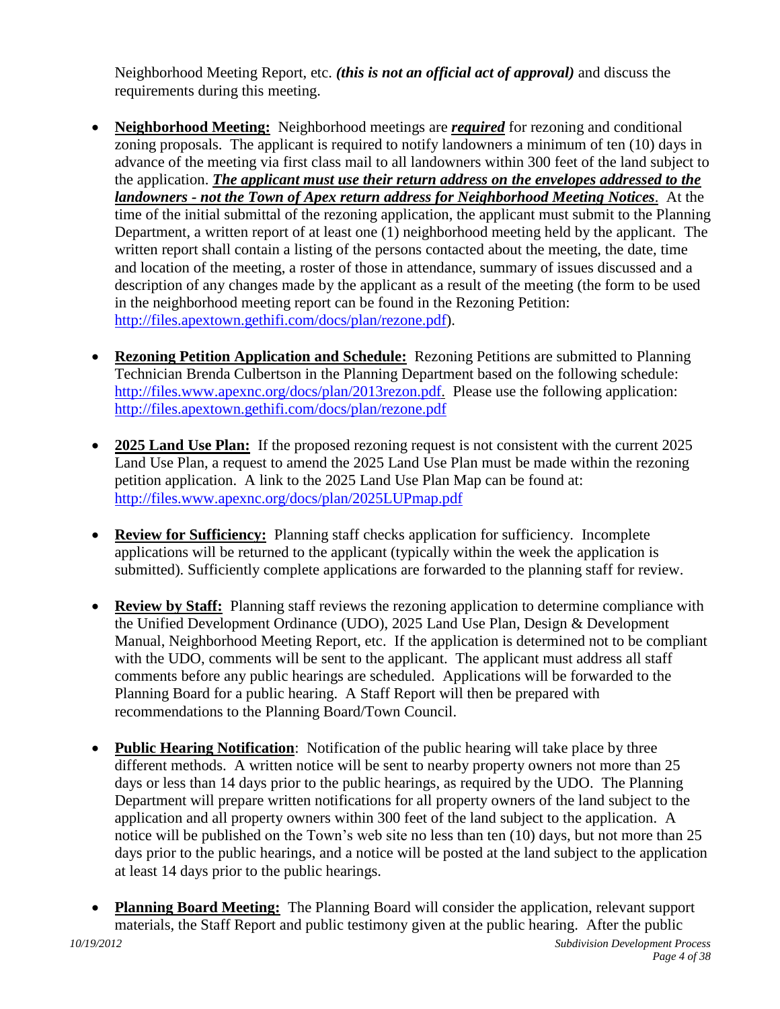<span id="page-3-0"></span>Neighborhood Meeting Report, etc. *(this is not an official act of approval)* and discuss the requirements during this meeting.

- **Neighborhood Meeting:** Neighborhood meetings are *required* for rezoning and conditional zoning proposals. The applicant is required to notify landowners a minimum of ten (10) days in advance of the meeting via first class mail to all landowners within 300 feet of the land subject to the application. *The applicant must use their return address on the envelopes addressed to the landowners - not the Town of Apex return address for Neighborhood Meeting Notices*. At the time of the initial submittal of the rezoning application, the applicant must submit to the Planning Department, a written report of at least one (1) neighborhood meeting held by the applicant. The written report shall contain a listing of the persons contacted about the meeting, the date, time and location of the meeting, a roster of those in attendance, summary of issues discussed and a description of any changes made by the applicant as a result of the meeting (the form to be used in the neighborhood meeting report can be found in the Rezoning Petition: [http://files.apextown.gethifi.com/docs/plan/rezone.pdf\)](http://files.apextown.gethifi.com/docs/plan/rezone.pdf).
- <span id="page-3-1"></span> **Rezoning Petition Application and Schedule:** Rezoning Petitions are submitted to Planning Technician Brenda Culbertson in the Planning Department based on the following schedule: [http://files.www.apexnc.org/docs/plan/2013rezon.pdf.](http://files.www.apexnc.org/docs/plan/2013rezon.pdf) Please use the following application: <http://files.apextown.gethifi.com/docs/plan/rezone.pdf>
- <span id="page-3-2"></span>• **2025 Land Use Plan:** If the proposed rezoning request is not consistent with the current 2025 Land Use Plan, a request to amend the 2025 Land Use Plan must be made within the rezoning petition application. A link to the 2025 Land Use Plan Map can be found at: <http://files.www.apexnc.org/docs/plan/2025LUPmap.pdf>
- <span id="page-3-3"></span> **Review for Sufficiency:** Planning staff checks application for sufficiency. Incomplete applications will be returned to the applicant (typically within the week the application is submitted). Sufficiently complete applications are forwarded to the planning staff for review.
- <span id="page-3-4"></span> **Review by Staff:** Planning staff reviews the rezoning application to determine compliance with the Unified Development Ordinance (UDO), 2025 Land Use Plan, Design & Development Manual, Neighborhood Meeting Report, etc. If the application is determined not to be compliant with the UDO, comments will be sent to the applicant. The applicant must address all staff comments before any public hearings are scheduled. Applications will be forwarded to the Planning Board for a public hearing. A Staff Report will then be prepared with recommendations to the Planning Board/Town Council.
- <span id="page-3-5"></span>• **Public Hearing Notification**: Notification of the public hearing will take place by three different methods. A written notice will be sent to nearby property owners not more than 25 days or less than 14 days prior to the public hearings, as required by the UDO. The Planning Department will prepare written notifications for all property owners of the land subject to the application and all property owners within 300 feet of the land subject to the application. A notice will be published on the Town's web site no less than ten (10) days, but not more than 25 days prior to the public hearings, and a notice will be posted at the land subject to the application at least 14 days prior to the public hearings.
- <span id="page-3-6"></span> **Planning Board Meeting:** The Planning Board will consider the application, relevant support materials, the Staff Report and public testimony given at the public hearing. After the public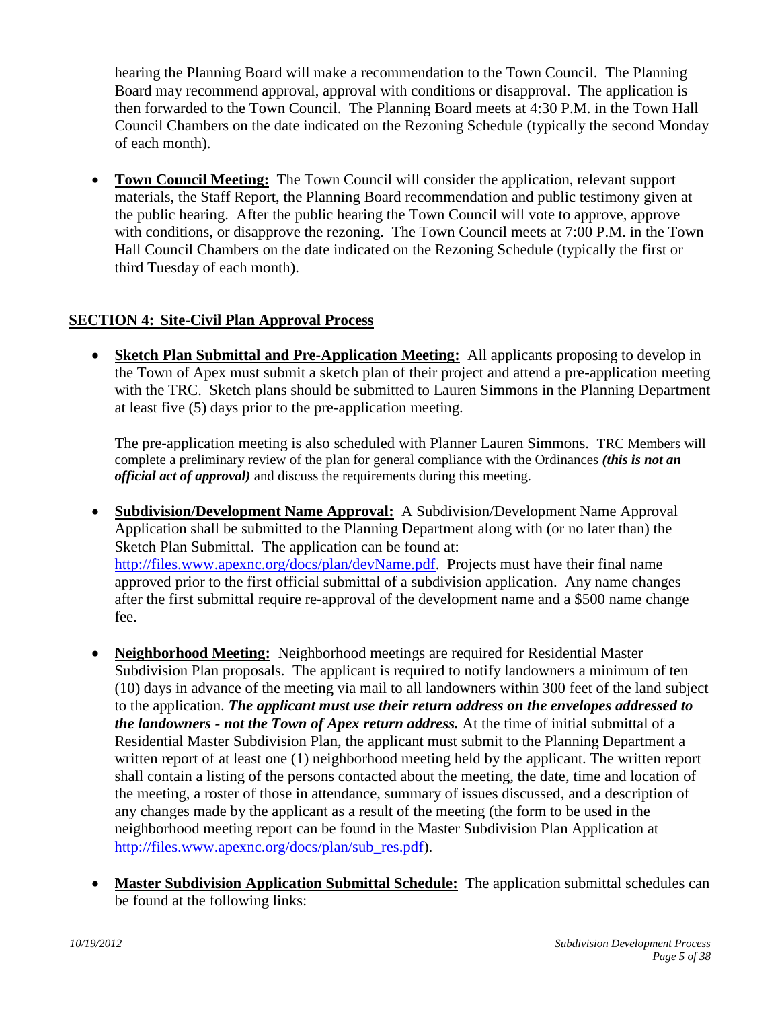hearing the Planning Board will make a recommendation to the Town Council. The Planning Board may recommend approval, approval with conditions or disapproval. The application is then forwarded to the Town Council. The Planning Board meets at 4:30 P.M. in the Town Hall Council Chambers on the date indicated on the Rezoning Schedule (typically the second Monday of each month).

<span id="page-4-0"></span> **Town Council Meeting:** The Town Council will consider the application, relevant support materials, the Staff Report, the Planning Board recommendation and public testimony given at the public hearing. After the public hearing the Town Council will vote to approve, approve with conditions, or disapprove the rezoning. The Town Council meets at 7:00 P.M. in the Town Hall Council Chambers on the date indicated on the Rezoning Schedule (typically the first or third Tuesday of each month).

## **SECTION 4: Site-Civil Plan Approval Process**

<span id="page-4-1"></span> **Sketch Plan Submittal and Pre-Application Meeting:** All applicants proposing to develop in the Town of Apex must submit a sketch plan of their project and attend a pre-application meeting with the TRC. Sketch plans should be submitted to Lauren Simmons in the Planning Department at least five (5) days prior to the pre-application meeting.

<span id="page-4-3"></span><span id="page-4-2"></span>The pre-application meeting is also scheduled with Planner Lauren Simmons. TRC Members will complete a preliminary review of the plan for general compliance with the Ordinances *(this is not an official act of approval)* and discuss the requirements during this meeting.

- **Subdivision/Development Name Approval:** A Subdivision/Development Name Approval Application shall be submitted to the Planning Department along with (or no later than) the Sketch Plan Submittal. The application can be found at: [http://files.www.apexnc.org/docs/plan/devName.pdf.](http://files.www.apexnc.org/docs/plan/devName.pdf) Projects must have their final name approved prior to the first official submittal of a subdivision application. Any name changes after the first submittal require re-approval of the development name and a \$500 name change fee.
- <span id="page-4-4"></span> **Neighborhood Meeting:** Neighborhood meetings are required for Residential Master Subdivision Plan proposals. The applicant is required to notify landowners a minimum of ten (10) days in advance of the meeting via mail to all landowners within 300 feet of the land subject to the application. *The applicant must use their return address on the envelopes addressed to the landowners - not the Town of Apex return address.* At the time of initial submittal of a Residential Master Subdivision Plan, the applicant must submit to the Planning Department a written report of at least one (1) neighborhood meeting held by the applicant. The written report shall contain a listing of the persons contacted about the meeting, the date, time and location of the meeting, a roster of those in attendance, summary of issues discussed, and a description of any changes made by the applicant as a result of the meeting (the form to be used in the neighborhood meeting report can be found in the Master Subdivision Plan Application at [http://files.www.apexnc.org/docs/plan/sub\\_res.pdf\)](http://files.www.apexnc.org/docs/plan/sub_res.pdf).
- <span id="page-4-5"></span> **Master Subdivision Application Submittal Schedule:** The application submittal schedules can be found at the following links: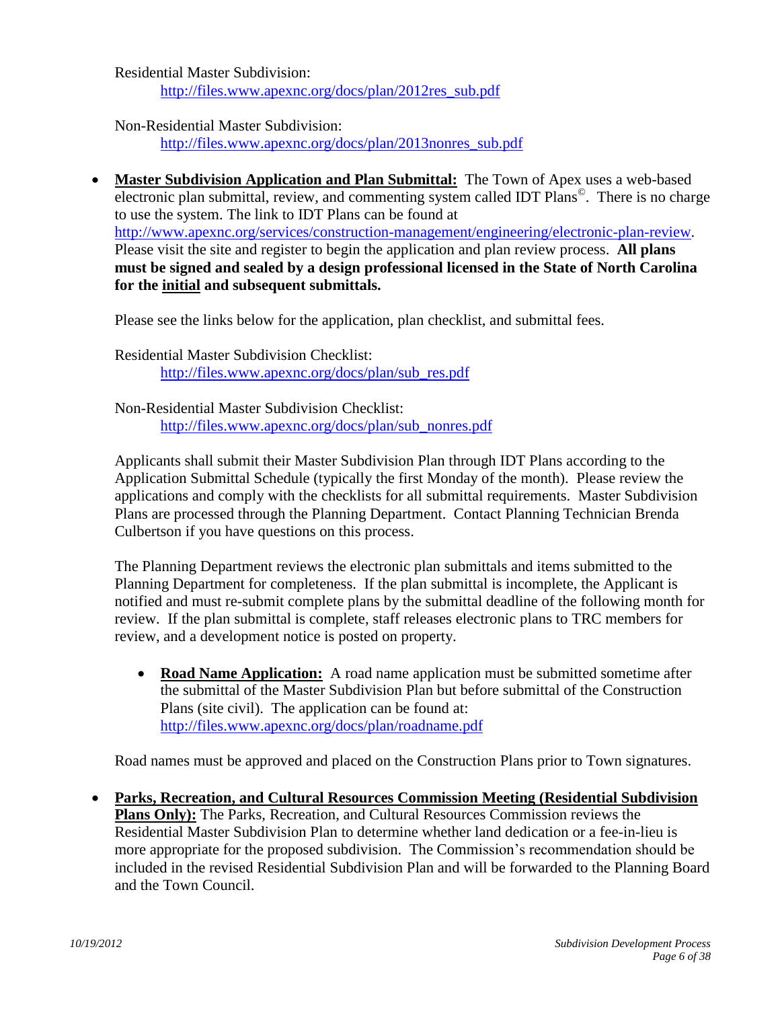Residential Master Subdivision: [http://files.www.apexnc.org/docs/plan/2012res\\_sub.pdf](http://files.www.apexnc.org/docs/plan/2012res_sub.pdf)

<span id="page-5-0"></span>Non-Residential Master Subdivision: [http://files.www.apexnc.org/docs/plan/2013nonres\\_sub.pdf](http://files.www.apexnc.org/docs/plan/2013nonres_sub.pdf)

 **Master Subdivision Application and Plan Submittal:** The Town of Apex uses a web-based electronic plan submittal, review, and commenting system called IDT Plans<sup>©</sup>. There is no charge to use the system. The link to IDT Plans can be found at [http://www.apexnc.org/services/construction-management/engineering/electronic-plan-review.](http://www.apexnc.org/services/construction-management/engineering/electronic-plan-review) Please visit the site and register to begin the application and plan review process. **All plans must be signed and sealed by a design professional licensed in the State of North Carolina for the initial and subsequent submittals.**

Please see the links below for the application, plan checklist, and submittal fees.

Residential Master Subdivision Checklist: [http://files.www.apexnc.org/docs/plan/sub\\_res.pdf](http://files.www.apexnc.org/docs/plan/sub_res.pdf)

Non-Residential Master Subdivision Checklist: [http://files.www.apexnc.org/docs/plan/sub\\_nonres.pdf](http://files.www.apexnc.org/docs/plan/sub_nonres.pdf)

Applicants shall submit their Master Subdivision Plan through IDT Plans according to the Application Submittal Schedule (typically the first Monday of the month). Please review the applications and comply with the checklists for all submittal requirements. Master Subdivision Plans are processed through the Planning Department. Contact Planning Technician Brenda Culbertson if you have questions on this process.

The Planning Department reviews the electronic plan submittals and items submitted to the Planning Department for completeness. If the plan submittal is incomplete, the Applicant is notified and must re-submit complete plans by the submittal deadline of the following month for review. If the plan submittal is complete, staff releases electronic plans to TRC members for review, and a development notice is posted on property.

<span id="page-5-1"></span>• **Road Name Application:** A road name application must be submitted sometime after the submittal of the Master Subdivision Plan but before submittal of the Construction Plans (site civil). The application can be found at: <http://files.www.apexnc.org/docs/plan/roadname.pdf>

<span id="page-5-2"></span>Road names must be approved and placed on the Construction Plans prior to Town signatures.

 **Parks, Recreation, and Cultural Resources Commission Meeting (Residential Subdivision Plans Only):** The Parks, Recreation, and Cultural Resources Commission reviews the Residential Master Subdivision Plan to determine whether land dedication or a fee-in-lieu is more appropriate for the proposed subdivision. The Commission's recommendation should be included in the revised Residential Subdivision Plan and will be forwarded to the Planning Board and the Town Council.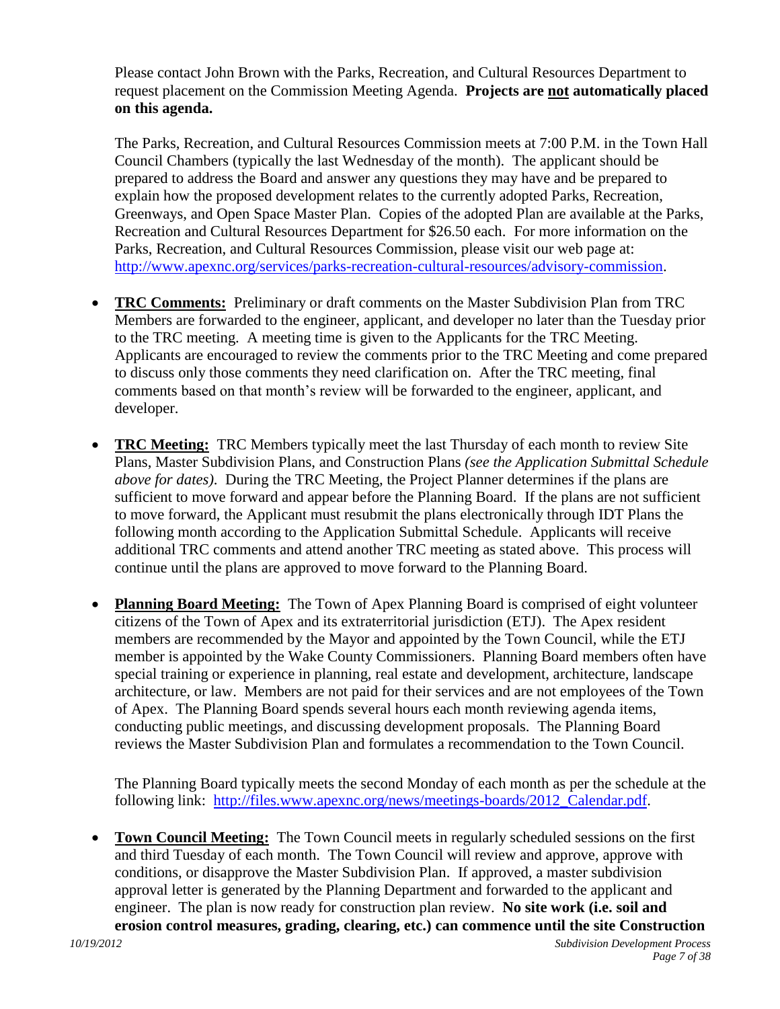Please contact John Brown with the Parks, Recreation, and Cultural Resources Department to request placement on the Commission Meeting Agenda. **Projects are not automatically placed on this agenda.**

The Parks, Recreation, and Cultural Resources Commission meets at 7:00 P.M. in the Town Hall Council Chambers (typically the last Wednesday of the month). The applicant should be prepared to address the Board and answer any questions they may have and be prepared to explain how the proposed development relates to the currently adopted Parks, Recreation, Greenways, and Open Space Master Plan. Copies of the adopted Plan are available at the Parks, Recreation and Cultural Resources Department for \$26.50 each. For more information on the Parks, Recreation, and Cultural Resources Commission, please visit our web page at: [http://www.apexnc.org/services/parks-recreation-cultural-resources/advisory-commission.](http://www.apexnc.org/services/parks-recreation-cultural-resources/advisory-commission)

- <span id="page-6-0"></span> **TRC Comments:** Preliminary or draft comments on the Master Subdivision Plan from TRC Members are forwarded to the engineer, applicant, and developer no later than the Tuesday prior to the TRC meeting. A meeting time is given to the Applicants for the TRC Meeting. Applicants are encouraged to review the comments prior to the TRC Meeting and come prepared to discuss only those comments they need clarification on. After the TRC meeting, final comments based on that month's review will be forwarded to the engineer, applicant, and developer.
- <span id="page-6-1"></span> **TRC Meeting:** TRC Members typically meet the last Thursday of each month to review Site Plans, Master Subdivision Plans, and Construction Plans *(see the Application Submittal Schedule above for dates)*. During the TRC Meeting, the Project Planner determines if the plans are sufficient to move forward and appear before the Planning Board. If the plans are not sufficient to move forward, the Applicant must resubmit the plans electronically through IDT Plans the following month according to the Application Submittal Schedule. Applicants will receive additional TRC comments and attend another TRC meeting as stated above. This process will continue until the plans are approved to move forward to the Planning Board.
- <span id="page-6-2"></span> **Planning Board Meeting:** The Town of Apex Planning Board is comprised of eight volunteer citizens of the Town of Apex and its extraterritorial jurisdiction (ETJ). The Apex resident members are recommended by the Mayor and appointed by the Town Council, while the ETJ member is appointed by the Wake County Commissioners. Planning Board members often have special training or experience in planning, real estate and development, architecture, landscape architecture, or law. Members are not paid for their services and are not employees of the Town of Apex. The Planning Board spends several hours each month reviewing agenda items, conducting public meetings, and discussing development proposals. The Planning Board reviews the Master Subdivision Plan and formulates a recommendation to the Town Council.

<span id="page-6-3"></span>The Planning Board typically meets the second Monday of each month as per the schedule at the following link: http://files.www.apexnc.org/news/meetings-boards/2012 Calendar.pdf.

 **Town Council Meeting:** The Town Council meets in regularly scheduled sessions on the first and third Tuesday of each month. The Town Council will review and approve, approve with conditions, or disapprove the Master Subdivision Plan. If approved, a master subdivision approval letter is generated by the Planning Department and forwarded to the applicant and engineer. The plan is now ready for construction plan review. **No site work (i.e. soil and erosion control measures, grading, clearing, etc.) can commence until the site Construction**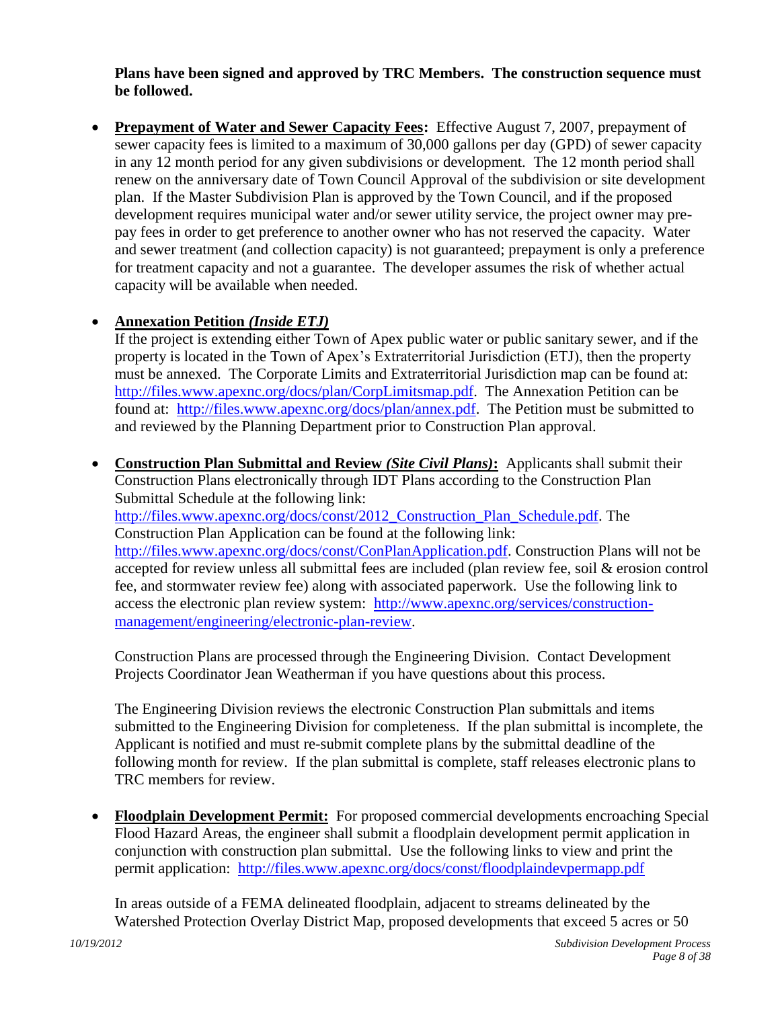#### <span id="page-7-0"></span>**Plans have been signed and approved by TRC Members. The construction sequence must be followed.**

 **Prepayment of Water and Sewer Capacity Fees:** Effective August 7, 2007, prepayment of sewer capacity fees is limited to a maximum of 30,000 gallons per day (GPD) of sewer capacity in any 12 month period for any given subdivisions or development. The 12 month period shall renew on the anniversary date of Town Council Approval of the subdivision or site development plan. If the Master Subdivision Plan is approved by the Town Council, and if the proposed development requires municipal water and/or sewer utility service, the project owner may prepay fees in order to get preference to another owner who has not reserved the capacity. Water and sewer treatment (and collection capacity) is not guaranteed; prepayment is only a preference for treatment capacity and not a guarantee. The developer assumes the risk of whether actual capacity will be available when needed.

## **Annexation Petition** *(Inside ETJ)*

<span id="page-7-2"></span><span id="page-7-1"></span>If the project is extending either Town of Apex public water or public sanitary sewer, and if the property is located in the Town of Apex's Extraterritorial Jurisdiction (ETJ), then the property must be annexed. The Corporate Limits and Extraterritorial Jurisdiction map can be found at: [http://files.www.apexnc.org/docs/plan/CorpLimitsmap.pdf.](http://files.www.apexnc.org/docs/plan/CorpLimitsmap.pdf) The Annexation Petition can be found at: [http://files.www.apexnc.org/docs/plan/annex.pdf.](http://files.www.apexnc.org/docs/plan/annex.pdf) The Petition must be submitted to and reviewed by the Planning Department prior to Construction Plan approval.

 **Construction Plan Submittal and Review** *(Site Civil Plans)***:** Applicants shall submit their Construction Plans electronically through IDT Plans according to the Construction Plan Submittal Schedule at the following link: [http://files.www.apexnc.org/docs/const/2012\\_Construction\\_Plan\\_Schedule.pdf.](http://files.www.apexnc.org/docs/const/2012_Construction_Plan_Schedule.pdf) The Construction Plan Application can be found at the following link: [http://files.www.apexnc.org/docs/const/ConPlanApplication.pdf.](http://files.www.apexnc.org/docs/const/ConPlanApplication.pdf) Construction Plans will not be accepted for review unless all submittal fees are included (plan review fee, soil & erosion control fee, and stormwater review fee) along with associated paperwork. Use the following link to access the electronic plan review system: [http://www.apexnc.org/services/construction](http://www.apexnc.org/services/construction-management/engineering/electronic-plan-review)[management/engineering/electronic-plan-review.](http://www.apexnc.org/services/construction-management/engineering/electronic-plan-review)

Construction Plans are processed through the Engineering Division. Contact Development Projects Coordinator Jean Weatherman if you have questions about this process.

The Engineering Division reviews the electronic Construction Plan submittals and items submitted to the Engineering Division for completeness. If the plan submittal is incomplete, the Applicant is notified and must re-submit complete plans by the submittal deadline of the following month for review. If the plan submittal is complete, staff releases electronic plans to TRC members for review.

 **Floodplain Development Permit:** For proposed commercial developments encroaching Special Flood Hazard Areas, the engineer shall submit a floodplain development permit application in conjunction with construction plan submittal. Use the following links to view and print the permit application: <http://files.www.apexnc.org/docs/const/floodplaindevpermapp.pdf>

<span id="page-7-3"></span>In areas outside of a FEMA delineated floodplain, adjacent to streams delineated by the Watershed Protection Overlay District Map, proposed developments that exceed 5 acres or 50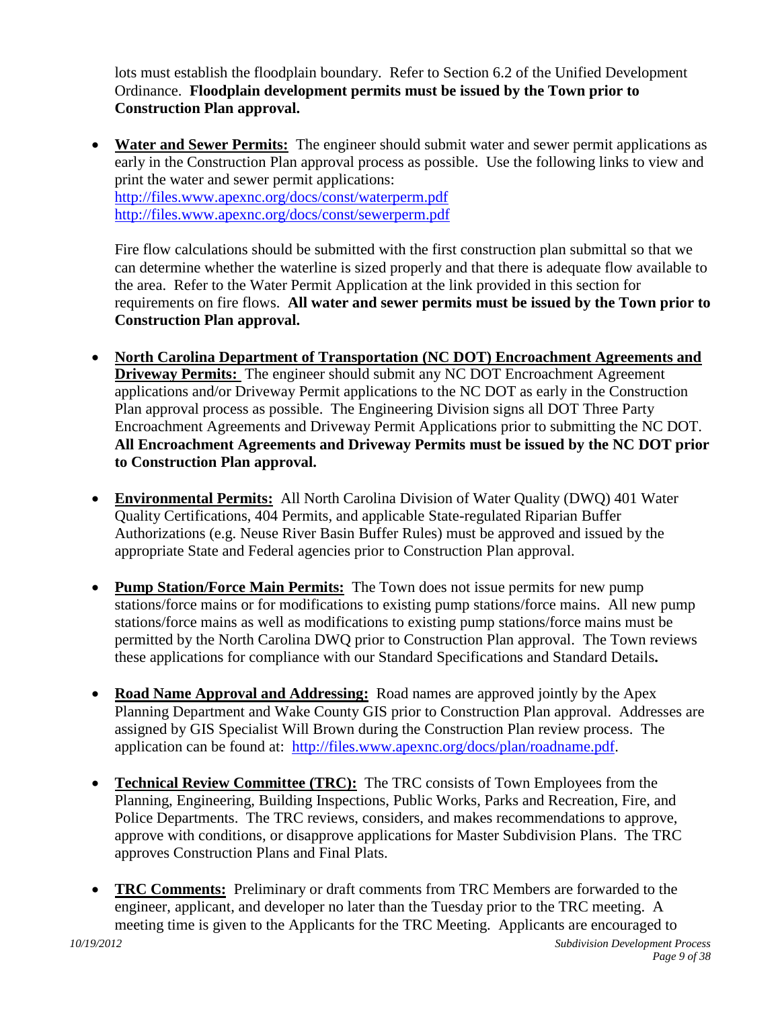<span id="page-8-0"></span>lots must establish the floodplain boundary. Refer to Section 6.2 of the Unified Development Ordinance. **Floodplain development permits must be issued by the Town prior to Construction Plan approval.**

 **Water and Sewer Permits:** The engineer should submit water and sewer permit applications as early in the Construction Plan approval process as possible. Use the following links to view and print the water and sewer permit applications: <http://files.www.apexnc.org/docs/const/waterperm.pdf> <http://files.www.apexnc.org/docs/const/sewerperm.pdf>

Fire flow calculations should be submitted with the first construction plan submittal so that we can determine whether the waterline is sized properly and that there is adequate flow available to the area. Refer to the Water Permit Application at the link provided in this section for requirements on fire flows. **All water and sewer permits must be issued by the Town prior to Construction Plan approval.**

- <span id="page-8-1"></span> **North Carolina Department of Transportation (NC DOT) Encroachment Agreements and Driveway Permits:** The engineer should submit any NC DOT Encroachment Agreement applications and/or Driveway Permit applications to the NC DOT as early in the Construction Plan approval process as possible. The Engineering Division signs all DOT Three Party Encroachment Agreements and Driveway Permit Applications prior to submitting the NC DOT. **All Encroachment Agreements and Driveway Permits must be issued by the NC DOT prior to Construction Plan approval.**
- <span id="page-8-2"></span> **Environmental Permits:** All North Carolina Division of Water Quality (DWQ) 401 Water Quality Certifications, 404 Permits, and applicable State-regulated Riparian Buffer Authorizations (e.g. Neuse River Basin Buffer Rules) must be approved and issued by the appropriate State and Federal agencies prior to Construction Plan approval.
- <span id="page-8-3"></span> **Pump Station/Force Main Permits:** The Town does not issue permits for new pump stations/force mains or for modifications to existing pump stations/force mains. All new pump stations/force mains as well as modifications to existing pump stations/force mains must be permitted by the North Carolina DWQ prior to Construction Plan approval. The Town reviews these applications for compliance with our Standard Specifications and Standard Details**.**
- <span id="page-8-4"></span>• Road Name Approval and Addressing: Road names are approved jointly by the Apex Planning Department and Wake County GIS prior to Construction Plan approval. Addresses are assigned by GIS Specialist Will Brown during the Construction Plan review process. The application can be found at: [http://files.www.apexnc.org/docs/plan/roadname.pdf.](http://files.www.apexnc.org/docs/plan/roadname.pdf)
- <span id="page-8-5"></span> **Technical Review Committee (TRC):** The TRC consists of Town Employees from the Planning, Engineering, Building Inspections, Public Works, Parks and Recreation, Fire, and Police Departments. The TRC reviews, considers, and makes recommendations to approve, approve with conditions, or disapprove applications for Master Subdivision Plans. The TRC approves Construction Plans and Final Plats.
- <span id="page-8-6"></span> **TRC Comments:** Preliminary or draft comments from TRC Members are forwarded to the engineer, applicant, and developer no later than the Tuesday prior to the TRC meeting. A meeting time is given to the Applicants for the TRC Meeting. Applicants are encouraged to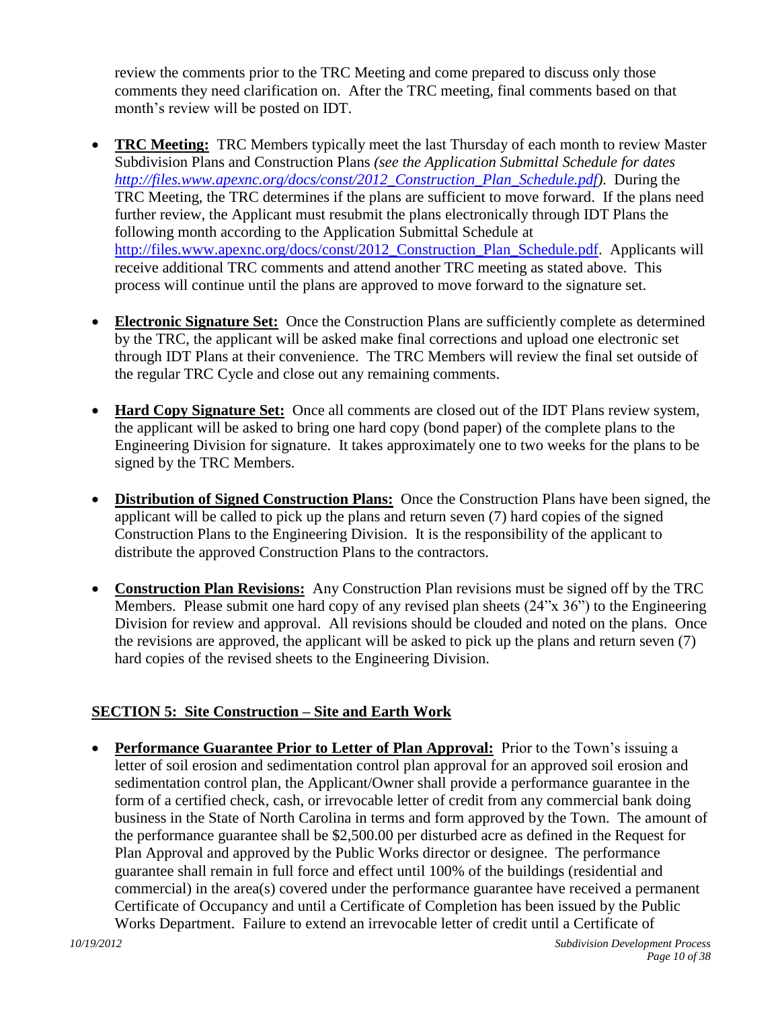review the comments prior to the TRC Meeting and come prepared to discuss only those comments they need clarification on. After the TRC meeting, final comments based on that month's review will be posted on IDT.

- <span id="page-9-0"></span> **TRC Meeting:** TRC Members typically meet the last Thursday of each month to review Master Subdivision Plans and Construction Plans *(see the Application Submittal Schedule for dates [http://files.www.apexnc.org/docs/const/2012\\_Construction\\_Plan\\_Schedule.pdf\)](http://files.www.apexnc.org/docs/const/2012_Construction_Plan_Schedule.pdf)*. During the TRC Meeting, the TRC determines if the plans are sufficient to move forward. If the plans need further review, the Applicant must resubmit the plans electronically through IDT Plans the following month according to the Application Submittal Schedule at [http://files.www.apexnc.org/docs/const/2012\\_Construction\\_Plan\\_Schedule.pdf.](http://files.www.apexnc.org/docs/const/2012_Construction_Plan_Schedule.pdf) Applicants will receive additional TRC comments and attend another TRC meeting as stated above. This process will continue until the plans are approved to move forward to the signature set.
- <span id="page-9-1"></span> **Electronic Signature Set:** Once the Construction Plans are sufficiently complete as determined by the TRC, the applicant will be asked make final corrections and upload one electronic set through IDT Plans at their convenience. The TRC Members will review the final set outside of the regular TRC Cycle and close out any remaining comments.
- <span id="page-9-2"></span>• Hard Copy Signature Set: Once all comments are closed out of the IDT Plans review system, the applicant will be asked to bring one hard copy (bond paper) of the complete plans to the Engineering Division for signature. It takes approximately one to two weeks for the plans to be signed by the TRC Members.
- <span id="page-9-3"></span> **Distribution of Signed Construction Plans:** Once the Construction Plans have been signed, the applicant will be called to pick up the plans and return seven (7) hard copies of the signed Construction Plans to the Engineering Division. It is the responsibility of the applicant to distribute the approved Construction Plans to the contractors.
- <span id="page-9-4"></span> **Construction Plan Revisions:** Any Construction Plan revisions must be signed off by the TRC Members. Please submit one hard copy of any revised plan sheets (24"x 36") to the Engineering Division for review and approval. All revisions should be clouded and noted on the plans. Once the revisions are approved, the applicant will be asked to pick up the plans and return seven (7) hard copies of the revised sheets to the Engineering Division.

## <span id="page-9-5"></span>**SECTION 5: Site Construction – Site and Earth Work**

<span id="page-9-6"></span> **Performance Guarantee Prior to Letter of Plan Approval:** Prior to the Town's issuing a letter of soil erosion and sedimentation control plan approval for an approved soil erosion and sedimentation control plan, the Applicant/Owner shall provide a performance guarantee in the form of a certified check, cash, or irrevocable letter of credit from any commercial bank doing business in the State of North Carolina in terms and form approved by the Town. The amount of the performance guarantee shall be \$2,500.00 per disturbed acre as defined in the Request for Plan Approval and approved by the Public Works director or designee. The performance guarantee shall remain in full force and effect until 100% of the buildings (residential and commercial) in the area(s) covered under the performance guarantee have received a permanent Certificate of Occupancy and until a Certificate of Completion has been issued by the Public Works Department. Failure to extend an irrevocable letter of credit until a Certificate of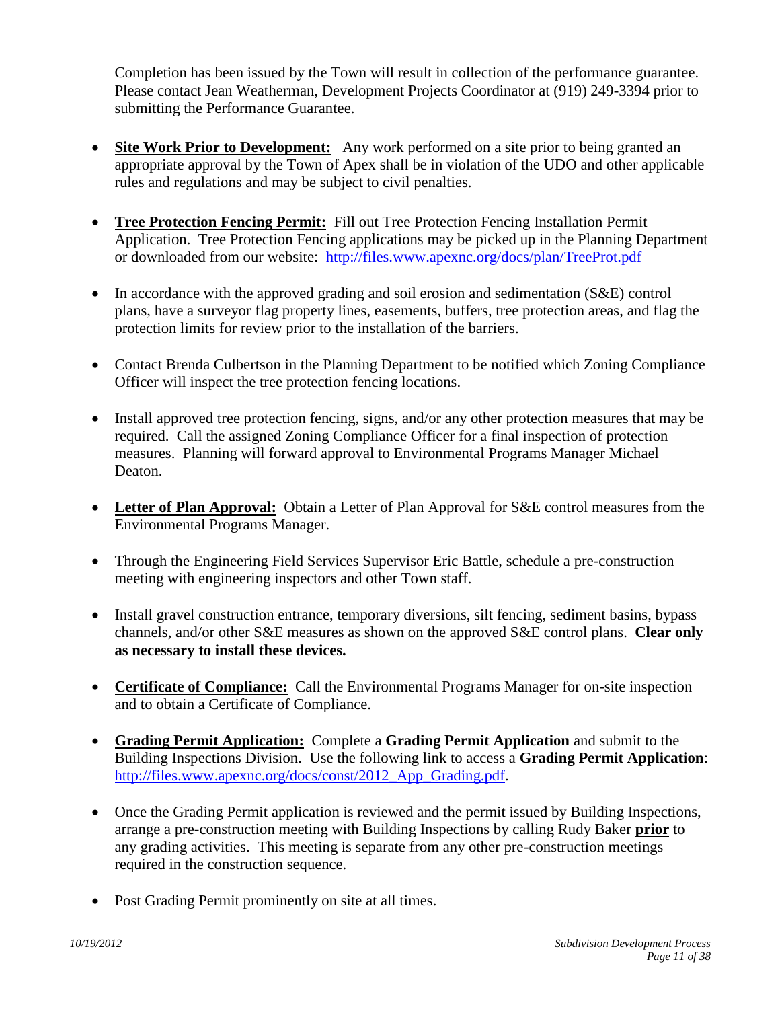<span id="page-10-0"></span>Completion has been issued by the Town will result in collection of the performance guarantee. Please contact Jean Weatherman, Development Projects Coordinator at (919) 249-3394 prior to submitting the Performance Guarantee.

- **Site Work Prior to Development:** Any work performed on a site prior to being granted an appropriate approval by the Town of Apex shall be in violation of the UDO and other applicable rules and regulations and may be subject to civil penalties.
- <span id="page-10-1"></span> **Tree Protection Fencing Permit:** Fill out Tree Protection Fencing Installation Permit Application. Tree Protection Fencing applications may be picked up in the Planning Department or downloaded from our website: <http://files.www.apexnc.org/docs/plan/TreeProt.pdf>
- In accordance with the approved grading and soil erosion and sedimentation (S&E) control plans, have a surveyor flag property lines, easements, buffers, tree protection areas, and flag the protection limits for review prior to the installation of the barriers.
- Contact Brenda Culbertson in the Planning Department to be notified which Zoning Compliance Officer will inspect the tree protection fencing locations.
- Install approved tree protection fencing, signs, and/or any other protection measures that may be required. Call the assigned Zoning Compliance Officer for a final inspection of protection measures. Planning will forward approval to Environmental Programs Manager Michael Deaton.
- <span id="page-10-2"></span> **Letter of Plan Approval:** Obtain a Letter of Plan Approval for S&E control measures from the Environmental Programs Manager.
- Through the Engineering Field Services Supervisor Eric Battle, schedule a pre-construction meeting with engineering inspectors and other Town staff.
- Install gravel construction entrance, temporary diversions, silt fencing, sediment basins, bypass channels, and/or other S&E measures as shown on the approved S&E control plans. **Clear only as necessary to install these devices.**
- <span id="page-10-3"></span> **Certificate of Compliance:** Call the Environmental Programs Manager for on-site inspection and to obtain a Certificate of Compliance.
- <span id="page-10-4"></span> **Grading Permit Application:** Complete a **Grading Permit Application** and submit to the Building Inspections Division. Use the following link to access a **Grading Permit Application**: [http://files.www.apexnc.org/docs/const/2012\\_App\\_Grading.pdf.](http://files.www.apexnc.org/docs/const/2012_App_Grading.pdf)
- Once the Grading Permit application is reviewed and the permit issued by Building Inspections, arrange a pre-construction meeting with Building Inspections by calling Rudy Baker **prior** to any grading activities. This meeting is separate from any other pre-construction meetings required in the construction sequence.
- Post Grading Permit prominently on site at all times.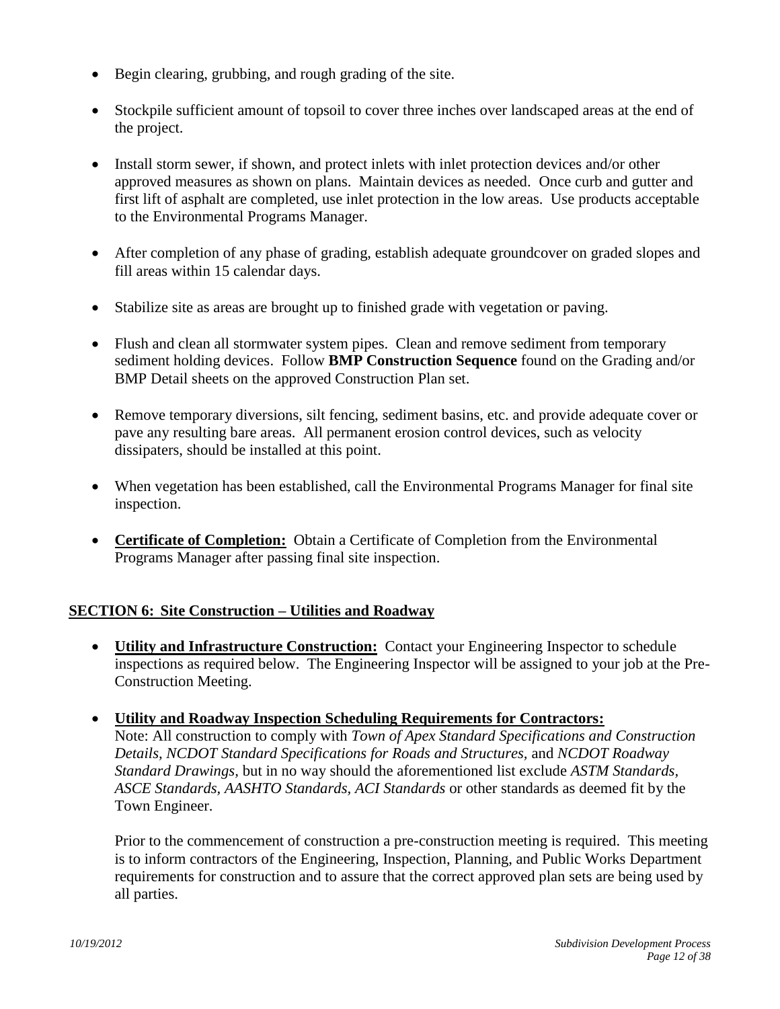- Begin clearing, grubbing, and rough grading of the site.
- Stockpile sufficient amount of topsoil to cover three inches over landscaped areas at the end of the project.
- Install storm sewer, if shown, and protect inlets with inlet protection devices and/or other approved measures as shown on plans. Maintain devices as needed. Once curb and gutter and first lift of asphalt are completed, use inlet protection in the low areas. Use products acceptable to the Environmental Programs Manager.
- After completion of any phase of grading, establish adequate groundcover on graded slopes and fill areas within 15 calendar days.
- Stabilize site as areas are brought up to finished grade with vegetation or paving.
- Flush and clean all stormwater system pipes. Clean and remove sediment from temporary sediment holding devices. Follow **BMP Construction Sequence** found on the Grading and/or BMP Detail sheets on the approved Construction Plan set.
- Remove temporary diversions, silt fencing, sediment basins, etc. and provide adequate cover or pave any resulting bare areas. All permanent erosion control devices, such as velocity dissipaters, should be installed at this point.
- When vegetation has been established, call the Environmental Programs Manager for final site inspection.
- <span id="page-11-0"></span> **Certificate of Completion:** Obtain a Certificate of Completion from the Environmental Programs Manager after passing final site inspection.

## **SECTION 6: Site Construction – Utilities and Roadway**

- <span id="page-11-2"></span><span id="page-11-1"></span> **Utility and Infrastructure Construction:** Contact your Engineering Inspector to schedule inspections as required below. The Engineering Inspector will be assigned to your job at the Pre-Construction Meeting.
- **Utility and Roadway Inspection Scheduling Requirements for Contractors:** Note: All construction to comply with *Town of Apex Standard Specifications and Construction Details, NCDOT Standard Specifications for Roads and Structures,* and *NCDOT Roadway Standard Drawings,* but in no way should the aforementioned list exclude *ASTM Standards, ASCE Standards, AASHTO Standards, ACI Standards* or other standards as deemed fit by the

Prior to the commencement of construction a pre-construction meeting is required. This meeting is to inform contractors of the Engineering, Inspection, Planning, and Public Works Department requirements for construction and to assure that the correct approved plan sets are being used by all parties.

<span id="page-11-3"></span>Town Engineer.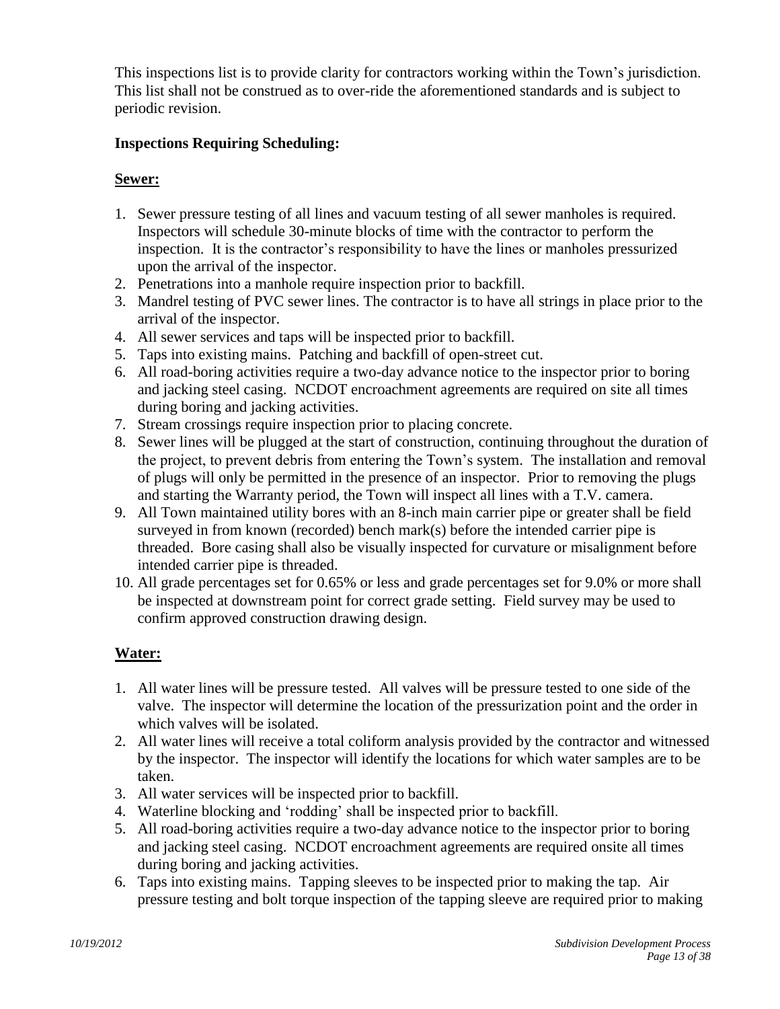This inspections list is to provide clarity for contractors working within the Town's jurisdiction. This list shall not be construed as to over-ride the aforementioned standards and is subject to periodic revision.

## **Inspections Requiring Scheduling:**

## **Sewer:**

- 1. Sewer pressure testing of all lines and vacuum testing of all sewer manholes is required. Inspectors will schedule 30-minute blocks of time with the contractor to perform the inspection. It is the contractor's responsibility to have the lines or manholes pressurized upon the arrival of the inspector.
- 2. Penetrations into a manhole require inspection prior to backfill.
- 3. Mandrel testing of PVC sewer lines. The contractor is to have all strings in place prior to the arrival of the inspector.
- 4. All sewer services and taps will be inspected prior to backfill.
- 5. Taps into existing mains. Patching and backfill of open-street cut.
- 6. All road-boring activities require a two-day advance notice to the inspector prior to boring and jacking steel casing. NCDOT encroachment agreements are required on site all times during boring and jacking activities.
- 7. Stream crossings require inspection prior to placing concrete.
- 8. Sewer lines will be plugged at the start of construction, continuing throughout the duration of the project, to prevent debris from entering the Town's system. The installation and removal of plugs will only be permitted in the presence of an inspector. Prior to removing the plugs and starting the Warranty period, the Town will inspect all lines with a T.V. camera.
- 9. All Town maintained utility bores with an 8-inch main carrier pipe or greater shall be field surveyed in from known (recorded) bench mark(s) before the intended carrier pipe is threaded. Bore casing shall also be visually inspected for curvature or misalignment before intended carrier pipe is threaded.
- 10. All grade percentages set for 0.65% or less and grade percentages set for 9.0% or more shall be inspected at downstream point for correct grade setting. Field survey may be used to confirm approved construction drawing design.

## **Water:**

- 1. All water lines will be pressure tested. All valves will be pressure tested to one side of the valve. The inspector will determine the location of the pressurization point and the order in which valves will be isolated.
- 2. All water lines will receive a total coliform analysis provided by the contractor and witnessed by the inspector. The inspector will identify the locations for which water samples are to be taken.
- 3. All water services will be inspected prior to backfill.
- 4. Waterline blocking and 'rodding' shall be inspected prior to backfill.
- 5. All road-boring activities require a two-day advance notice to the inspector prior to boring and jacking steel casing. NCDOT encroachment agreements are required onsite all times during boring and jacking activities.
- 6. Taps into existing mains. Tapping sleeves to be inspected prior to making the tap. Air pressure testing and bolt torque inspection of the tapping sleeve are required prior to making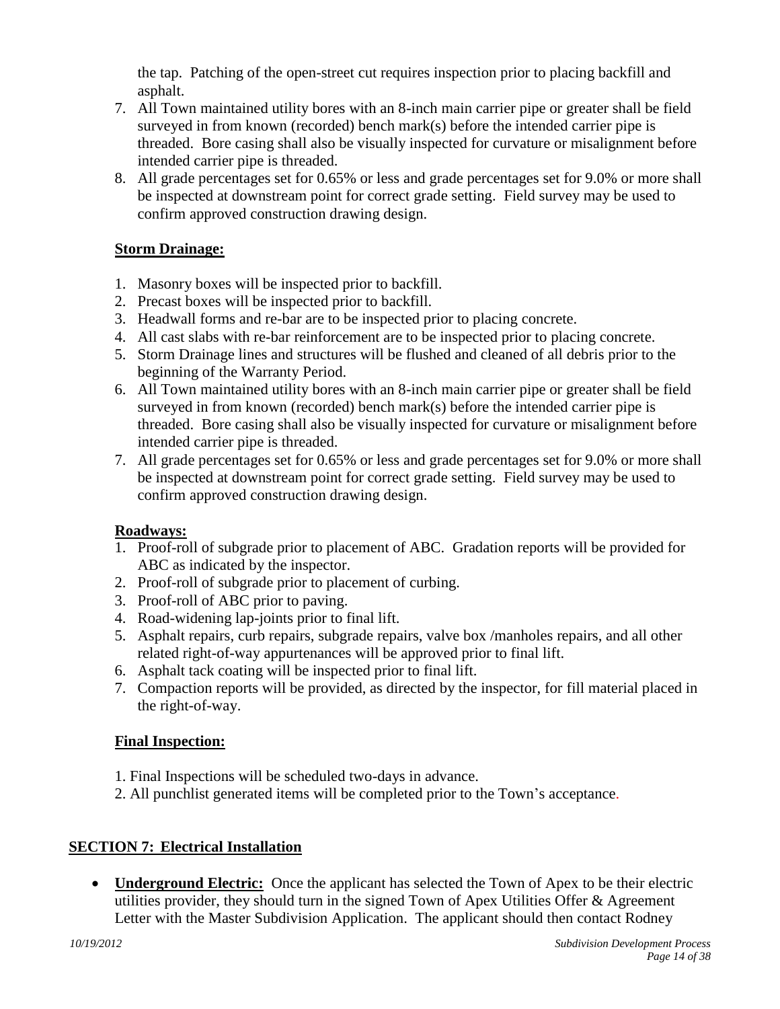the tap. Patching of the open-street cut requires inspection prior to placing backfill and asphalt.

- 7. All Town maintained utility bores with an 8-inch main carrier pipe or greater shall be field surveyed in from known (recorded) bench mark(s) before the intended carrier pipe is threaded. Bore casing shall also be visually inspected for curvature or misalignment before intended carrier pipe is threaded.
- 8. All grade percentages set for 0.65% or less and grade percentages set for 9.0% or more shall be inspected at downstream point for correct grade setting. Field survey may be used to confirm approved construction drawing design.

## **Storm Drainage:**

- 1. Masonry boxes will be inspected prior to backfill.
- 2. Precast boxes will be inspected prior to backfill.
- 3. Headwall forms and re-bar are to be inspected prior to placing concrete.
- 4. All cast slabs with re-bar reinforcement are to be inspected prior to placing concrete.
- 5. Storm Drainage lines and structures will be flushed and cleaned of all debris prior to the beginning of the Warranty Period.
- 6. All Town maintained utility bores with an 8-inch main carrier pipe or greater shall be field surveyed in from known (recorded) bench mark(s) before the intended carrier pipe is threaded. Bore casing shall also be visually inspected for curvature or misalignment before intended carrier pipe is threaded.
- 7. All grade percentages set for 0.65% or less and grade percentages set for 9.0% or more shall be inspected at downstream point for correct grade setting. Field survey may be used to confirm approved construction drawing design.

## **Roadways:**

- 1. Proof-roll of subgrade prior to placement of ABC. Gradation reports will be provided for ABC as indicated by the inspector.
- 2. Proof-roll of subgrade prior to placement of curbing.
- 3. Proof-roll of ABC prior to paving.
- 4. Road-widening lap-joints prior to final lift.
- 5. Asphalt repairs, curb repairs, subgrade repairs, valve box /manholes repairs, and all other related right-of-way appurtenances will be approved prior to final lift.
- 6. Asphalt tack coating will be inspected prior to final lift.
- 7. Compaction reports will be provided, as directed by the inspector, for fill material placed in the right-of-way.

## **Final Inspection:**

- 1. Final Inspections will be scheduled two-days in advance.
- <span id="page-13-0"></span>2. All punchlist generated items will be completed prior to the Town's acceptance.

## **SECTION 7: Electrical Installation**

<span id="page-13-1"></span>• **Underground Electric:** Once the applicant has selected the Town of Apex to be their electric utilities provider, they should turn in the signed Town of Apex Utilities Offer & Agreement Letter with the Master Subdivision Application. The applicant should then contact Rodney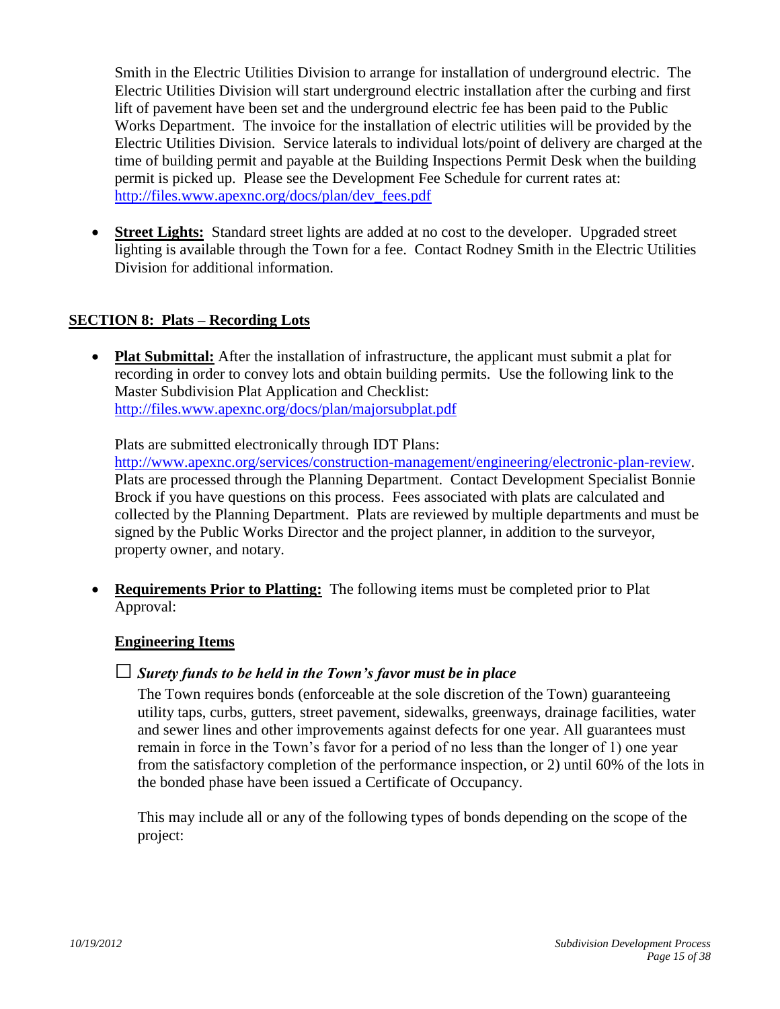Smith in the Electric Utilities Division to arrange for installation of underground electric. The Electric Utilities Division will start underground electric installation after the curbing and first lift of pavement have been set and the underground electric fee has been paid to the Public Works Department. The invoice for the installation of electric utilities will be provided by the Electric Utilities Division. Service laterals to individual lots/point of delivery are charged at the time of building permit and payable at the Building Inspections Permit Desk when the building permit is picked up. Please see the Development Fee Schedule for current rates at: [http://files.www.apexnc.org/docs/plan/dev\\_fees.pdf](http://files.www.apexnc.org/docs/plan/dev_fees.pdf)

<span id="page-14-0"></span> **Street Lights:** Standard street lights are added at no cost to the developer. Upgraded street lighting is available through the Town for a fee. Contact Rodney Smith in the Electric Utilities Division for additional information.

#### **SECTION 8: Plats – Recording Lots**

<span id="page-14-2"></span><span id="page-14-1"></span> **Plat Submittal:** After the installation of infrastructure, the applicant must submit a plat for recording in order to convey lots and obtain building permits. Use the following link to the Master Subdivision Plat Application and Checklist: <http://files.www.apexnc.org/docs/plan/majorsubplat.pdf>

Plats are submitted electronically through IDT Plans:

[http://www.apexnc.org/services/construction-management/engineering/electronic-plan-review.](http://www.apexnc.org/services/construction-management/engineering/electronic-plan-review) Plats are processed through the Planning Department. Contact Development Specialist Bonnie Brock if you have questions on this process. Fees associated with plats are calculated and collected by the Planning Department. Plats are reviewed by multiple departments and must be signed by the Public Works Director and the project planner, in addition to the surveyor, property owner, and notary.

 **Requirements Prior to Platting:** The following items must be completed prior to Plat Approval:

#### <span id="page-14-3"></span>**Engineering Items**

#### □*Surety funds to be held in the Town's favor must be in place*

The Town requires bonds (enforceable at the sole discretion of the Town) guaranteeing utility taps, curbs, gutters, street pavement, sidewalks, greenways, drainage facilities, water and sewer lines and other improvements against defects for one year. All guarantees must remain in force in the Town's favor for a period of no less than the longer of 1) one year from the satisfactory completion of the performance inspection, or 2) until 60% of the lots in the bonded phase have been issued a Certificate of Occupancy.

This may include all or any of the following types of bonds depending on the scope of the project: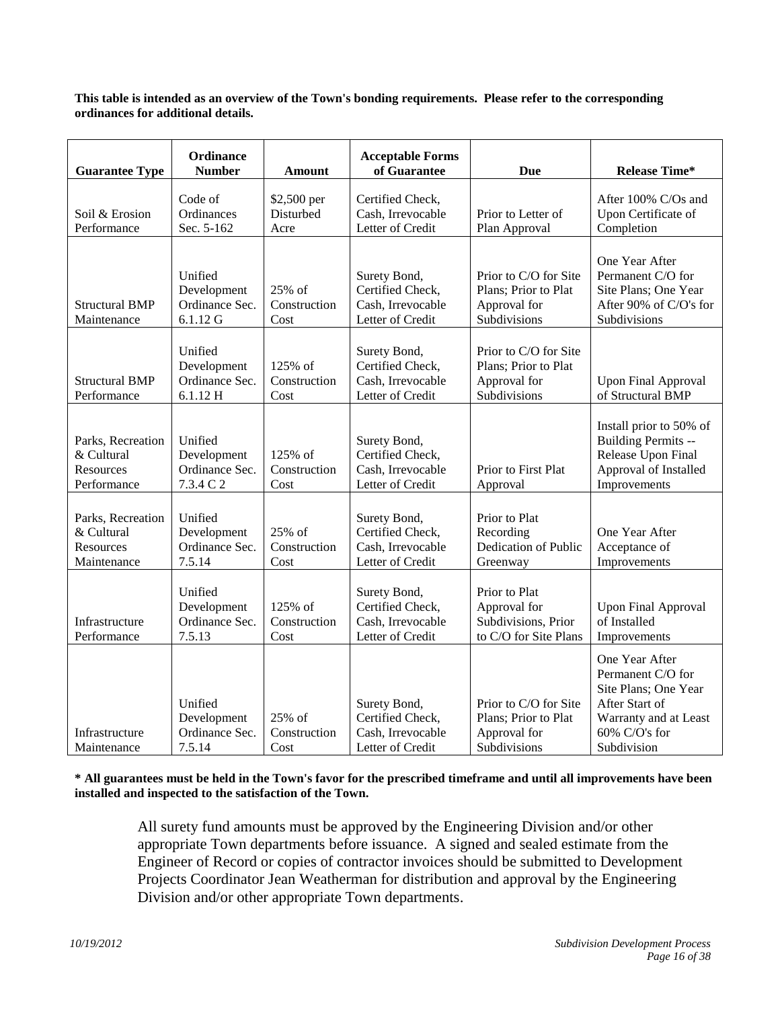**This table is intended as an overview of the Town's bonding requirements. Please refer to the corresponding ordinances for additional details.**

| <b>Guarantee Type</b>                                              | Ordinance<br><b>Number</b>                            | <b>Amount</b>                    | <b>Acceptable Forms</b><br>of Guarantee                                   | <b>Due</b>                                                                    | <b>Release Time*</b>                                                                                                                   |
|--------------------------------------------------------------------|-------------------------------------------------------|----------------------------------|---------------------------------------------------------------------------|-------------------------------------------------------------------------------|----------------------------------------------------------------------------------------------------------------------------------------|
| Soil & Erosion<br>Performance                                      | Code of<br>Ordinances<br>Sec. 5-162                   | \$2,500 per<br>Disturbed<br>Acre | Certified Check,<br>Cash, Irrevocable<br>Letter of Credit                 | Prior to Letter of<br>Plan Approval                                           | After 100% C/Os and<br>Upon Certificate of<br>Completion                                                                               |
| <b>Structural BMP</b><br>Maintenance                               | Unified<br>Development<br>Ordinance Sec.<br>6.1.12 G  | 25% of<br>Construction<br>Cost   | Surety Bond,<br>Certified Check,<br>Cash, Irrevocable<br>Letter of Credit | Prior to C/O for Site<br>Plans; Prior to Plat<br>Approval for<br>Subdivisions | One Year After<br>Permanent C/O for<br>Site Plans; One Year<br>After 90% of C/O's for<br>Subdivisions                                  |
| <b>Structural BMP</b><br>Performance                               | Unified<br>Development<br>Ordinance Sec.<br>6.1.12H   | 125% of<br>Construction<br>Cost  | Surety Bond,<br>Certified Check,<br>Cash, Irrevocable<br>Letter of Credit | Prior to C/O for Site<br>Plans; Prior to Plat<br>Approval for<br>Subdivisions | <b>Upon Final Approval</b><br>of Structural BMP                                                                                        |
| Parks, Recreation<br>& Cultural<br>Resources<br>Performance        | Unified<br>Development<br>Ordinance Sec.<br>7.3.4 C 2 | 125% of<br>Construction<br>Cost  | Surety Bond,<br>Certified Check,<br>Cash, Irrevocable<br>Letter of Credit | Prior to First Plat<br>Approval                                               | Install prior to 50% of<br>Building Permits --<br>Release Upon Final<br>Approval of Installed<br>Improvements                          |
| Parks, Recreation<br>& Cultural<br><b>Resources</b><br>Maintenance | Unified<br>Development<br>Ordinance Sec.<br>7.5.14    | 25% of<br>Construction<br>Cost   | Surety Bond,<br>Certified Check,<br>Cash, Irrevocable<br>Letter of Credit | Prior to Plat<br>Recording<br>Dedication of Public<br>Greenway                | One Year After<br>Acceptance of<br>Improvements                                                                                        |
| Infrastructure<br>Performance                                      | Unified<br>Development<br>Ordinance Sec.<br>7.5.13    | 125% of<br>Construction<br>Cost  | Surety Bond,<br>Certified Check,<br>Cash, Irrevocable<br>Letter of Credit | Prior to Plat<br>Approval for<br>Subdivisions, Prior<br>to C/O for Site Plans | <b>Upon Final Approval</b><br>of Installed<br>Improvements                                                                             |
| Infrastructure<br>Maintenance                                      | Unified<br>Development<br>Ordinance Sec.<br>7.5.14    | $25%$ of<br>Construction<br>Cost | Surety Bond,<br>Certified Check,<br>Cash, Irrevocable<br>Letter of Credit | Prior to C/O for Site<br>Plans; Prior to Plat<br>Approval for<br>Subdivisions | One Year After<br>Permanent C/O for<br>Site Plans; One Year<br>After Start of<br>Warranty and at Least<br>60% C/O's for<br>Subdivision |

**\* All guarantees must be held in the Town's favor for the prescribed timeframe and until all improvements have been installed and inspected to the satisfaction of the Town.**

All surety fund amounts must be approved by the Engineering Division and/or other appropriate Town departments before issuance. A signed and sealed estimate from the Engineer of Record or copies of contractor invoices should be submitted to Development Projects Coordinator Jean Weatherman for distribution and approval by the Engineering Division and/or other appropriate Town departments.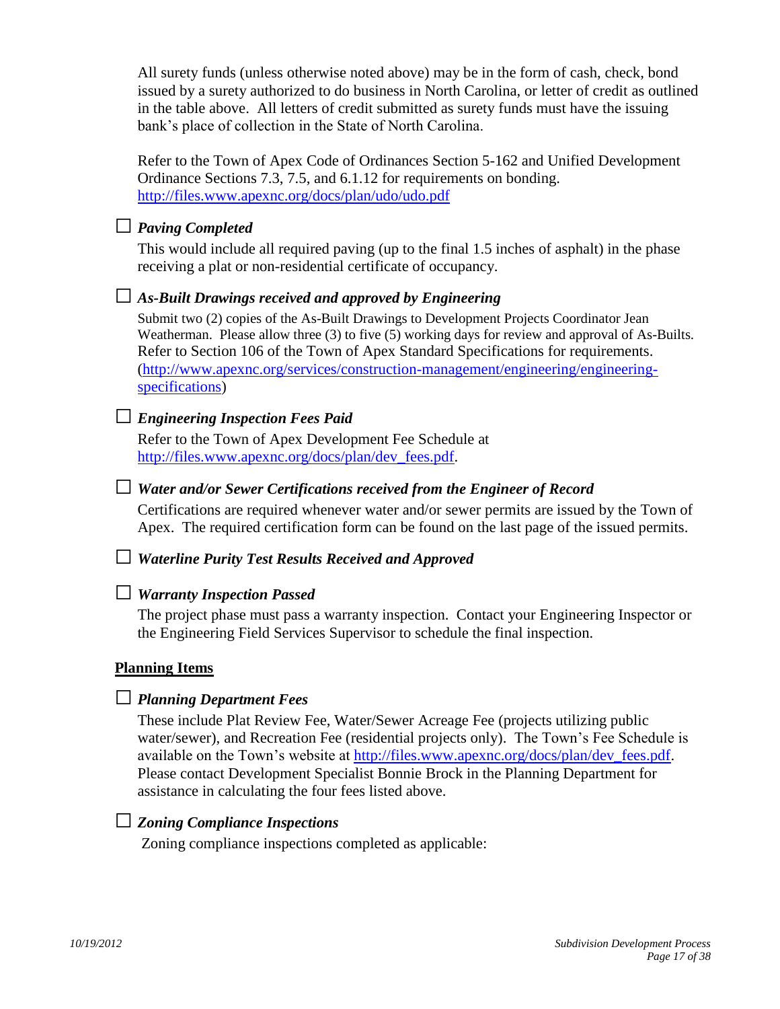All surety funds (unless otherwise noted above) may be in the form of cash, check, bond issued by a surety authorized to do business in North Carolina, or letter of credit as outlined in the table above. All letters of credit submitted as surety funds must have the issuing bank's place of collection in the State of North Carolina.

Refer to the Town of Apex Code of Ordinances Section 5-162 and Unified Development Ordinance Sections 7.3, 7.5, and 6.1.12 for requirements on bonding. <http://files.www.apexnc.org/docs/plan/udo/udo.pdf>

### □ *Paving Completed*

This would include all required paving (up to the final 1.5 inches of asphalt) in the phase receiving a plat or non-residential certificate of occupancy.

#### □ *As-Built Drawings received and approved by Engineering*

Submit two (2) copies of the As-Built Drawings to Development Projects Coordinator Jean Weatherman. Please allow three (3) to five (5) working days for review and approval of As-Builts. Refer to Section 106 of the Town of Apex Standard Specifications for requirements. [\(http://www.apexnc.org/services/construction-management/engineering/engineering](http://www.apexnc.org/services/construction-management/engineering/engineering-specifications)[specifications\)](http://www.apexnc.org/services/construction-management/engineering/engineering-specifications)

## □ *Engineering Inspection Fees Paid*

Refer to the Town of Apex Development Fee Schedule at [http://files.www.apexnc.org/docs/plan/dev\\_fees.pdf.](http://files.www.apexnc.org/docs/plan/dev_fees.pdf)

#### □ *Water and/or Sewer Certifications received from the Engineer of Record*

Certifications are required whenever water and/or sewer permits are issued by the Town of Apex. The required certification form can be found on the last page of the issued permits.

#### □ *Waterline Purity Test Results Received and Approved*

#### □ *Warranty Inspection Passed*

The project phase must pass a warranty inspection. Contact your Engineering Inspector or the Engineering Field Services Supervisor to schedule the final inspection.

#### **Planning Items**

## □ *Planning Department Fees*

These include Plat Review Fee, Water/Sewer Acreage Fee (projects utilizing public water/sewer), and Recreation Fee (residential projects only). The Town's Fee Schedule is available on the Town's website at [http://files.www.apexnc.org/docs/plan/dev\\_fees.pdf.](http://files.www.apexnc.org/docs/plan/dev_fees.pdf) Please contact Development Specialist Bonnie Brock in the Planning Department for assistance in calculating the four fees listed above.

#### □ *Zoning Compliance Inspections*

Zoning compliance inspections completed as applicable: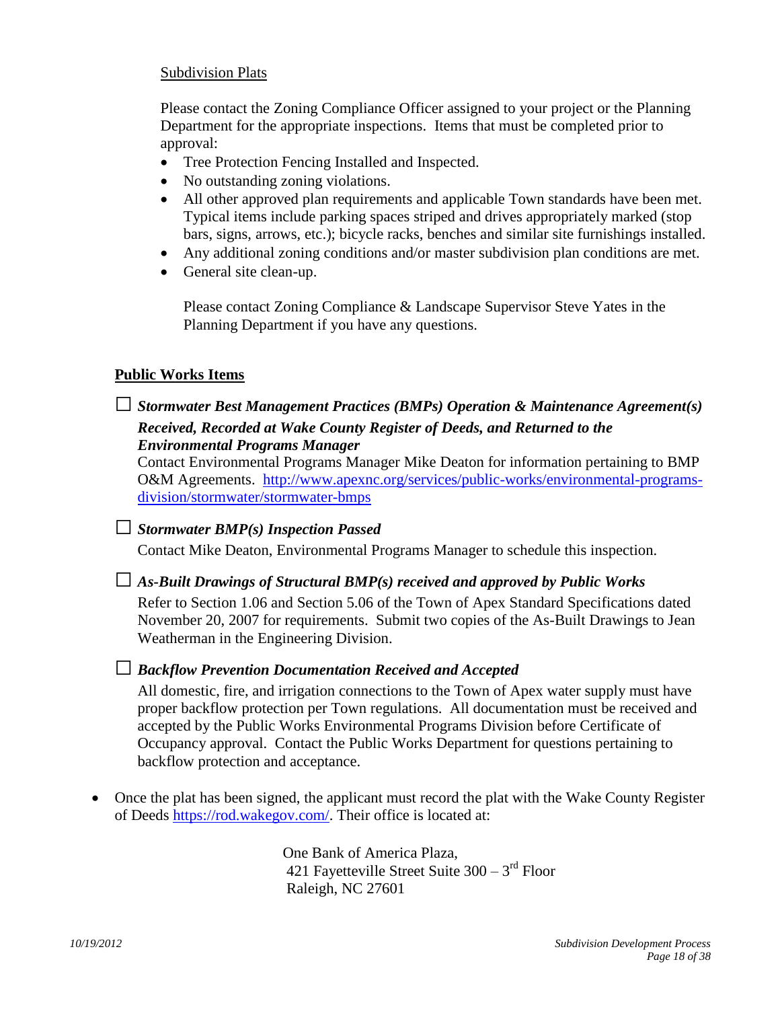#### Subdivision Plats

Please contact the Zoning Compliance Officer assigned to your project or the Planning Department for the appropriate inspections. Items that must be completed prior to approval:

- Tree Protection Fencing Installed and Inspected.
- No outstanding zoning violations.
- All other approved plan requirements and applicable Town standards have been met. Typical items include parking spaces striped and drives appropriately marked (stop bars, signs, arrows, etc.); bicycle racks, benches and similar site furnishings installed.
- Any additional zoning conditions and/or master subdivision plan conditions are met.
- General site clean-up.

 Please contact Zoning Compliance & Landscape Supervisor Steve Yates in the Planning Department if you have any questions.

## **Public Works Items**

## □*Stormwater Best Management Practices (BMPs) Operation & Maintenance Agreement(s) Received, Recorded at Wake County Register of Deeds, and Returned to the Environmental Programs Manager*

Contact Environmental Programs Manager Mike Deaton for information pertaining to BMP O&M Agreements. [http://www.apexnc.org/services/public-works/environmental-programs](http://www.apexnc.org/services/public-works/environmental-programs-division/stormwater/stormwater-bmps)[division/stormwater/stormwater-bmps](http://www.apexnc.org/services/public-works/environmental-programs-division/stormwater/stormwater-bmps)

## □*Stormwater BMP(s) Inspection Passed*

Contact Mike Deaton, Environmental Programs Manager to schedule this inspection.

## □ *As-Built Drawings of Structural BMP(s) received and approved by Public Works*

Refer to Section 1.06 and Section 5.06 of the Town of Apex Standard Specifications dated November 20, 2007 for requirements. Submit two copies of the As-Built Drawings to Jean Weatherman in the Engineering Division.

## □ *Backflow Prevention Documentation Received and Accepted*

All domestic, fire, and irrigation connections to the Town of Apex water supply must have proper backflow protection per Town regulations. All documentation must be received and accepted by the Public Works Environmental Programs Division before Certificate of Occupancy approval. Contact the Public Works Department for questions pertaining to backflow protection and acceptance.

 Once the plat has been signed, the applicant must record the plat with the Wake County Register of Deeds [https://rod.wakegov.com/.](https://rod.wakegov.com/) Their office is located at:

 One Bank of America Plaza, 421 Fayetteville Street Suite  $300 - 3<sup>rd</sup>$  Floor Raleigh, NC 27601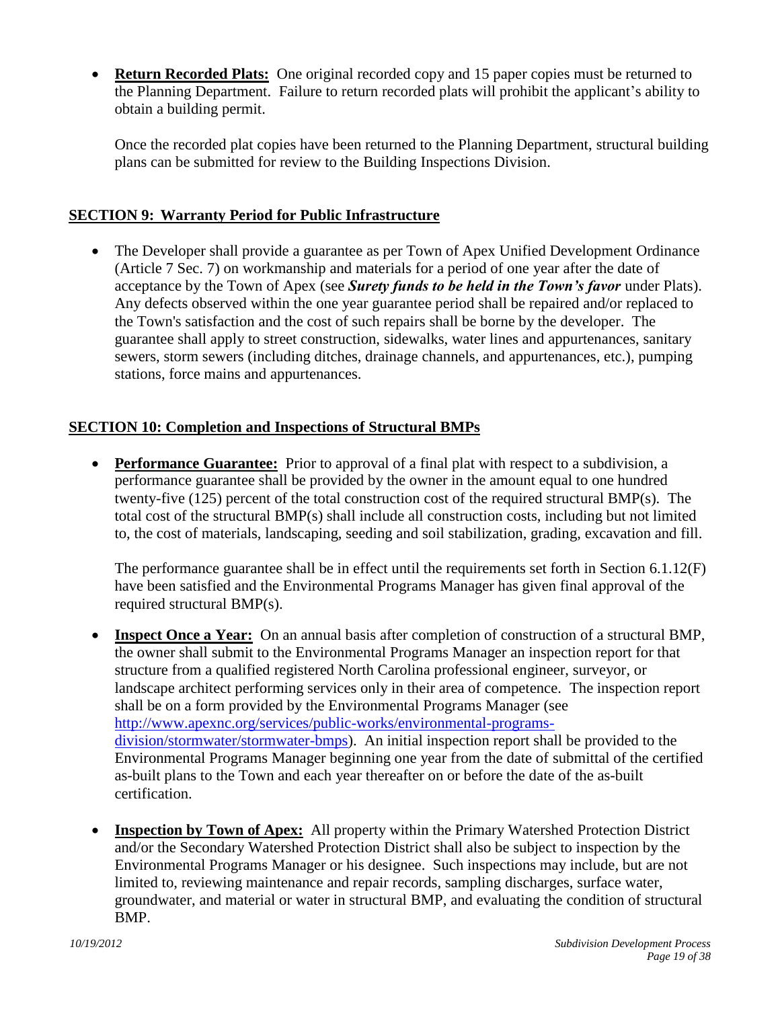**Return Recorded Plats:** One original recorded copy and 15 paper copies must be returned to the Planning Department. Failure to return recorded plats will prohibit the applicant's ability to obtain a building permit.

<span id="page-18-1"></span><span id="page-18-0"></span>Once the recorded plat copies have been returned to the Planning Department, structural building plans can be submitted for review to the Building Inspections Division.

## **SECTION 9: Warranty Period for Public Infrastructure**

• The Developer shall provide a guarantee as per Town of Apex Unified Development Ordinance (Article 7 Sec. 7) on workmanship and materials for a period of one year after the date of acceptance by the Town of Apex (see *Surety funds to be held in the Town's favor* under Plats). Any defects observed within the one year guarantee period shall be repaired and/or replaced to the Town's satisfaction and the cost of such repairs shall be borne by the developer. The guarantee shall apply to street construction, sidewalks, water lines and appurtenances, sanitary sewers, storm sewers (including ditches, drainage channels, and appurtenances, etc.), pumping stations, force mains and appurtenances.

## **SECTION 10: Completion and Inspections of Structural BMPs**

<span id="page-18-3"></span><span id="page-18-2"></span> **Performance Guarantee:**Prior to approval of a final plat with respect to a subdivision, a performance guarantee shall be provided by the owner in the amount equal to one hundred twenty-five (125) percent of the total construction cost of the required structural BMP(s). The total cost of the structural BMP(s) shall include all construction costs, including but not limited to, the cost of materials, landscaping, seeding and soil stabilization, grading, excavation and fill.

<span id="page-18-4"></span>The performance guarantee shall be in effect until the requirements set forth in Section 6.1.12(F) have been satisfied and the Environmental Programs Manager has given final approval of the required structural BMP(s).

- **Inspect Once a Year:** On an annual basis after completion of construction of a structural BMP, the owner shall submit to the Environmental Programs Manager an inspection report for that structure from a qualified registered North Carolina professional engineer, surveyor, or landscape architect performing services only in their area of competence. The inspection report shall be on a form provided by the Environmental Programs Manager (see [http://www.apexnc.org/services/public-works/environmental-programs](http://www.apexnc.org/services/public-works/environmental-programs-division/stormwater/stormwater-bmps)[division/stormwater/stormwater-bmps\)](http://www.apexnc.org/services/public-works/environmental-programs-division/stormwater/stormwater-bmps). An initial inspection report shall be provided to the Environmental Programs Manager beginning one year from the date of submittal of the certified as-built plans to the Town and each year thereafter on or before the date of the as-built certification.
- <span id="page-18-5"></span> **Inspection by Town of Apex:** All property within the Primary Watershed Protection District and/or the Secondary Watershed Protection District shall also be subject to inspection by the Environmental Programs Manager or his designee. Such inspections may include, but are not limited to, reviewing maintenance and repair records, sampling discharges, surface water, groundwater, and material or water in structural BMP, and evaluating the condition of structural BMP.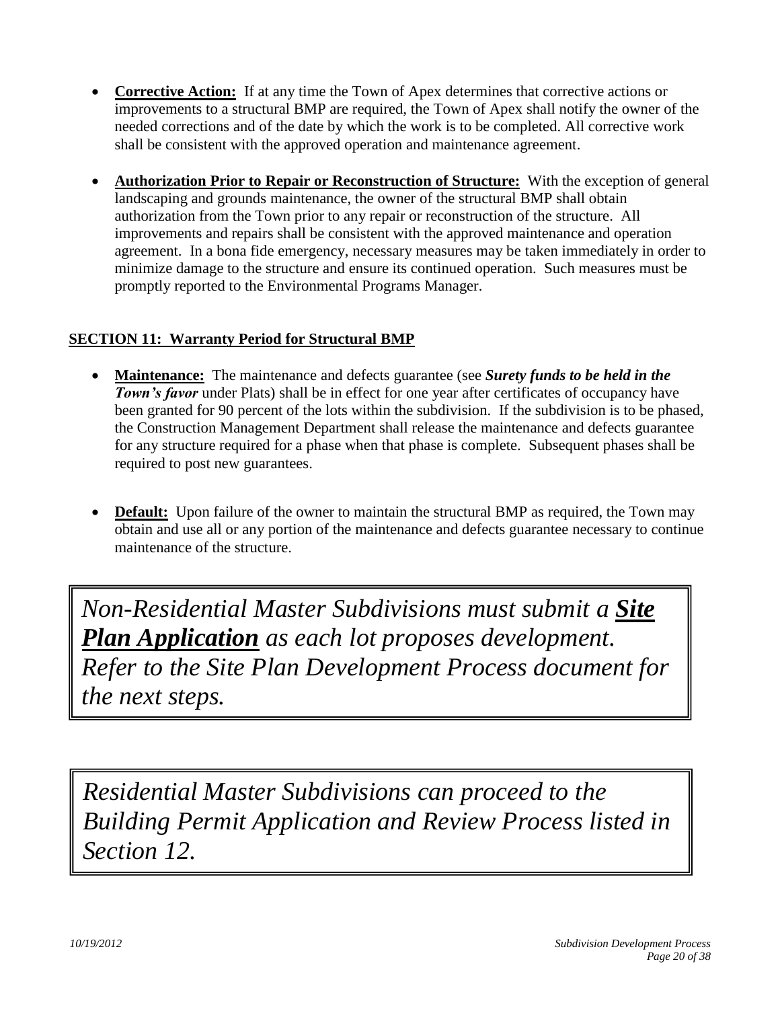- <span id="page-19-0"></span> **Corrective Action:** If at any time the Town of Apex determines that corrective actions or improvements to a structural BMP are required, the Town of Apex shall notify the owner of the needed corrections and of the date by which the work is to be completed. All corrective work shall be consistent with the approved operation and maintenance agreement.
- <span id="page-19-1"></span> **Authorization Prior to Repair or Reconstruction of Structure:** With the exception of general landscaping and grounds maintenance, the owner of the structural BMP shall obtain authorization from the Town prior to any repair or reconstruction of the structure. All improvements and repairs shall be consistent with the approved maintenance and operation agreement. In a bona fide emergency, necessary measures may be taken immediately in order to minimize damage to the structure and ensure its continued operation. Such measures must be promptly reported to the Environmental Programs Manager.

## **SECTION 11: Warranty Period for Structural BMP**

- <span id="page-19-3"></span><span id="page-19-2"></span> **Maintenance:**The maintenance and defects guarantee (see *Surety funds to be held in the*  **Town's favor** under Plats) shall be in effect for one year after certificates of occupancy have been granted for 90 percent of the lots within the subdivision. If the subdivision is to be phased, the Construction Management Department shall release the maintenance and defects guarantee for any structure required for a phase when that phase is complete. Subsequent phases shall be required to post new guarantees.
- <span id="page-19-4"></span>**Default:** Upon failure of the owner to maintain the structural BMP as required, the Town may obtain and use all or any portion of the maintenance and defects guarantee necessary to continue maintenance of the structure.

*Non-Residential Master Subdivisions must submit a Site Plan Application as each lot proposes development. Refer to the Site Plan Development Process document for the next steps.*

*Residential Master Subdivisions can proceed to the Building Permit Application and Review Process listed in Section 12.*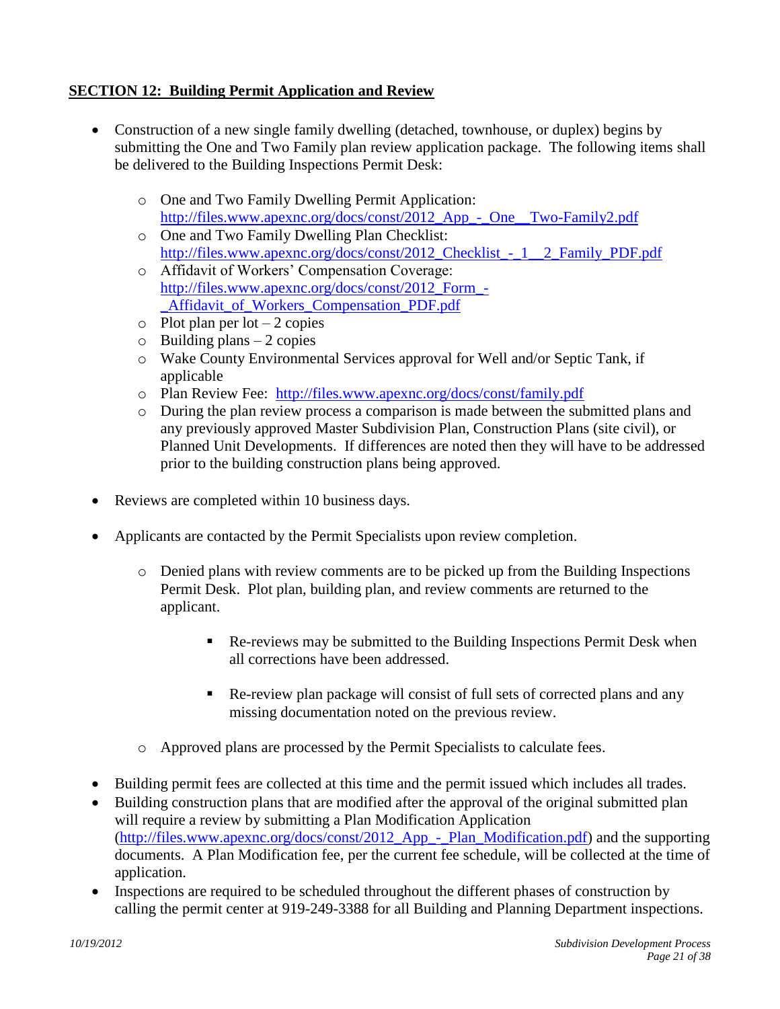## **SECTION 12: Building Permit Application and Review**

- <span id="page-20-0"></span> Construction of a new single family dwelling (detached, townhouse, or duplex) begins by submitting the One and Two Family plan review application package. The following items shall be delivered to the Building Inspections Permit Desk:
	- o One and Two Family Dwelling Permit Application: [http://files.www.apexnc.org/docs/const/2012\\_App\\_-\\_One\\_\\_Two-Family2.pdf](http://files.www.apexnc.org/docs/const/2012_App_-_One__Two-Family2.pdf)
	- o One and Two Family Dwelling Plan Checklist: [http://files.www.apexnc.org/docs/const/2012\\_Checklist\\_-\\_1\\_\\_2\\_Family\\_PDF.pdf](http://files.www.apexnc.org/docs/const/2012_Checklist_-_1__2_Family_PDF.pdf)
	- o Affidavit of Workers' Compensation Coverage: [http://files.www.apexnc.org/docs/const/2012\\_Form\\_-](http://files.www.apexnc.org/docs/const/2012_Form_-_Affidavit_of_Workers_Compensation_PDF.pdf) Affidavit of Workers Compensation PDF.pdf
	- $\circ$  Plot plan per lot 2 copies
	- $\circ$  Building plans 2 copies
	- o Wake County Environmental Services approval for Well and/or Septic Tank, if applicable
	- o Plan Review Fee: <http://files.www.apexnc.org/docs/const/family.pdf>
	- o During the plan review process a comparison is made between the submitted plans and any previously approved Master Subdivision Plan, Construction Plans (site civil), or Planned Unit Developments. If differences are noted then they will have to be addressed prior to the building construction plans being approved.
- Reviews are completed within 10 business days.
- Applicants are contacted by the Permit Specialists upon review completion.
	- o Denied plans with review comments are to be picked up from the Building Inspections Permit Desk. Plot plan, building plan, and review comments are returned to the applicant.
		- Re-reviews may be submitted to the Building Inspections Permit Desk when all corrections have been addressed.
		- Re-review plan package will consist of full sets of corrected plans and any missing documentation noted on the previous review.
	- o Approved plans are processed by the Permit Specialists to calculate fees.
- Building permit fees are collected at this time and the permit issued which includes all trades.
- Building construction plans that are modified after the approval of the original submitted plan will require a review by submitting a Plan Modification Application [\(http://files.www.apexnc.org/docs/const/2012\\_App\\_-\\_Plan\\_Modification.pdf\)](http://files.www.apexnc.org/docs/const/2012_App_-_Plan_Modification.pdf) and the supporting documents. A Plan Modification fee, per the current fee schedule, will be collected at the time of application.
- Inspections are required to be scheduled throughout the different phases of construction by calling the permit center at 919-249-3388 for all Building and Planning Department inspections.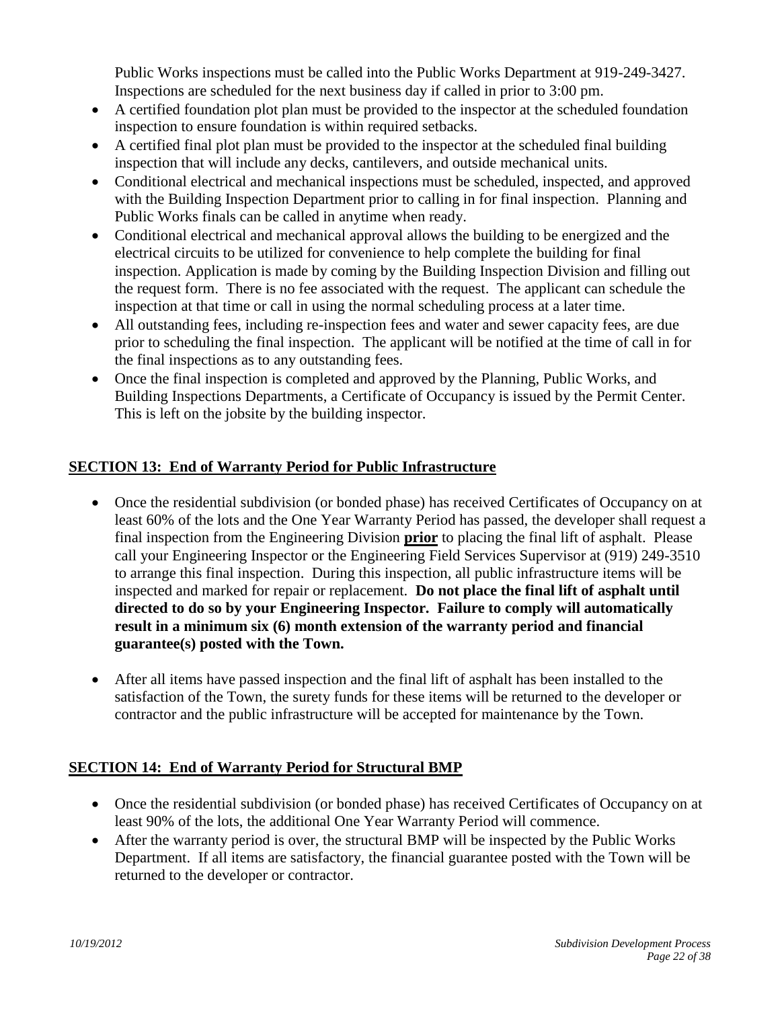Public Works inspections must be called into the Public Works Department at 919-249-3427. Inspections are scheduled for the next business day if called in prior to 3:00 pm.

- A certified foundation plot plan must be provided to the inspector at the scheduled foundation inspection to ensure foundation is within required setbacks.
- A certified final plot plan must be provided to the inspector at the scheduled final building inspection that will include any decks, cantilevers, and outside mechanical units.
- Conditional electrical and mechanical inspections must be scheduled, inspected, and approved with the Building Inspection Department prior to calling in for final inspection. Planning and Public Works finals can be called in anytime when ready.
- Conditional electrical and mechanical approval allows the building to be energized and the electrical circuits to be utilized for convenience to help complete the building for final inspection. Application is made by coming by the Building Inspection Division and filling out the request form. There is no fee associated with the request. The applicant can schedule the inspection at that time or call in using the normal scheduling process at a later time.
- All outstanding fees, including re-inspection fees and water and sewer capacity fees, are due prior to scheduling the final inspection. The applicant will be notified at the time of call in for the final inspections as to any outstanding fees.
- Once the final inspection is completed and approved by the Planning, Public Works, and Building Inspections Departments, a Certificate of Occupancy is issued by the Permit Center. This is left on the jobsite by the building inspector.

## **SECTION 13: End of Warranty Period for Public Infrastructure**

- <span id="page-21-0"></span> Once the residential subdivision (or bonded phase) has received Certificates of Occupancy on at least 60% of the lots and the One Year Warranty Period has passed, the developer shall request a final inspection from the Engineering Division **prior** to placing the final lift of asphalt. Please call your Engineering Inspector or the Engineering Field Services Supervisor at (919) 249-3510 to arrange this final inspection. During this inspection, all public infrastructure items will be inspected and marked for repair or replacement. **Do not place the final lift of asphalt until directed to do so by your Engineering Inspector. Failure to comply will automatically result in a minimum six (6) month extension of the warranty period and financial guarantee(s) posted with the Town.**
- After all items have passed inspection and the final lift of asphalt has been installed to the satisfaction of the Town, the surety funds for these items will be returned to the developer or contractor and the public infrastructure will be accepted for maintenance by the Town.

## **SECTION 14: End of Warranty Period for Structural BMP**

- <span id="page-21-1"></span> Once the residential subdivision (or bonded phase) has received Certificates of Occupancy on at least 90% of the lots, the additional One Year Warranty Period will commence.
- After the warranty period is over, the structural BMP will be inspected by the Public Works Department. If all items are satisfactory, the financial guarantee posted with the Town will be returned to the developer or contractor.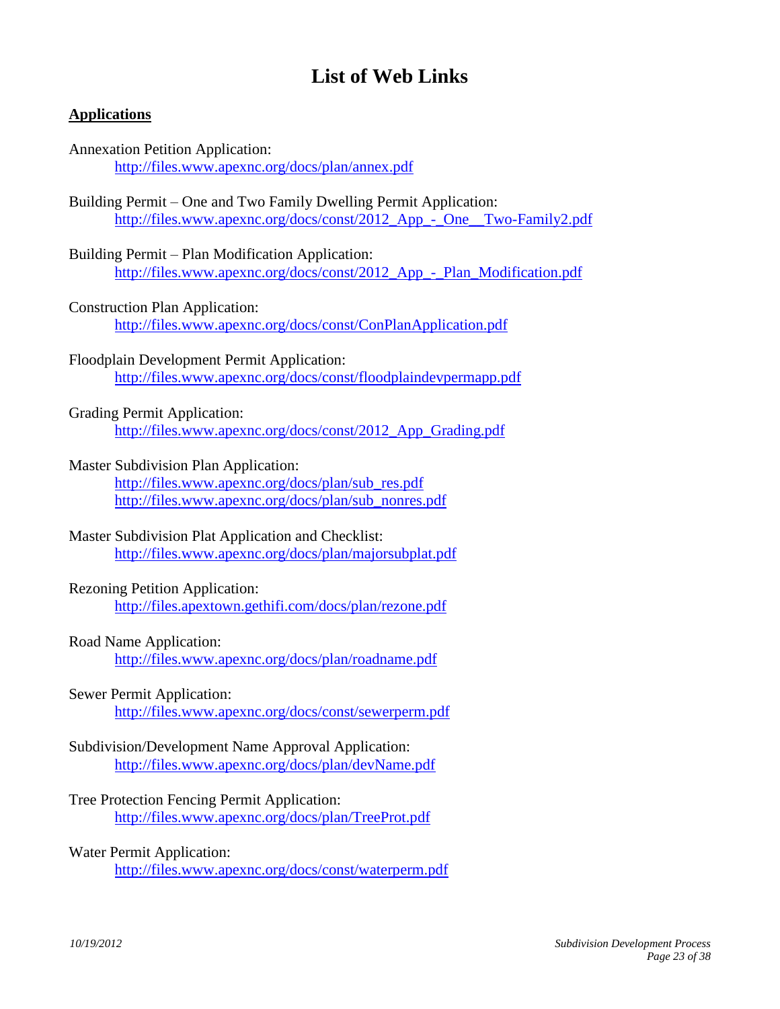# <span id="page-22-0"></span>**List of Web Links**

#### **Applications**

| <b>Annexation Petition Application:</b>         |  |
|-------------------------------------------------|--|
| http://files.www.apexnc.org/docs/plan/annex.pdf |  |

- Building Permit One and Two Family Dwelling Permit Application: [http://files.www.apexnc.org/docs/const/2012\\_App\\_-\\_One\\_\\_Two-Family2.pdf](http://files.www.apexnc.org/docs/const/2012_App_-_One__Two-Family2.pdf)
- Building Permit Plan Modification Application: [http://files.www.apexnc.org/docs/const/2012\\_App\\_-\\_Plan\\_Modification.pdf](http://files.www.apexnc.org/docs/const/2012_App_-_Plan_Modification.pdf)
- Construction Plan Application: <http://files.www.apexnc.org/docs/const/ConPlanApplication.pdf>
- Floodplain Development Permit Application: <http://files.www.apexnc.org/docs/const/floodplaindevpermapp.pdf>

#### Grading Permit Application:

[http://files.www.apexnc.org/docs/const/2012\\_App\\_Grading.pdf](http://files.www.apexnc.org/docs/const/2012_App_Grading.pdf)

Master Subdivision Plan Application:

[http://files.www.apexnc.org/docs/plan/sub\\_res.pdf](http://files.www.apexnc.org/docs/plan/sub_res.pdf) [http://files.www.apexnc.org/docs/plan/sub\\_nonres.pdf](http://files.www.apexnc.org/docs/plan/sub_nonres.pdf)

Master Subdivision Plat Application and Checklist: <http://files.www.apexnc.org/docs/plan/majorsubplat.pdf>

#### Rezoning Petition Application:

<http://files.apextown.gethifi.com/docs/plan/rezone.pdf>

#### Road Name Application:

<http://files.www.apexnc.org/docs/plan/roadname.pdf>

#### Sewer Permit Application:

<http://files.www.apexnc.org/docs/const/sewerperm.pdf>

#### Subdivision/Development Name Approval Application: <http://files.www.apexnc.org/docs/plan/devName.pdf>

Tree Protection Fencing Permit Application: <http://files.www.apexnc.org/docs/plan/TreeProt.pdf>

#### Water Permit Application:

<http://files.www.apexnc.org/docs/const/waterperm.pdf>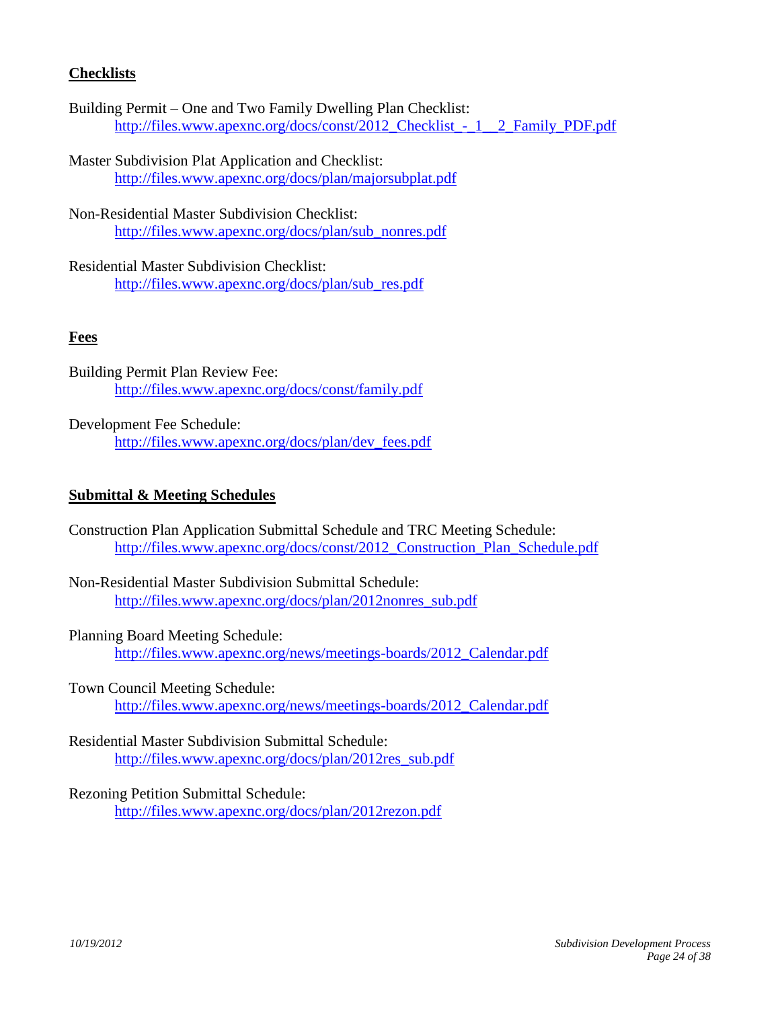### **Checklists**

- Building Permit One and Two Family Dwelling Plan Checklist: [http://files.www.apexnc.org/docs/const/2012\\_Checklist\\_-\\_1\\_\\_2\\_Family\\_PDF.pdf](http://files.www.apexnc.org/docs/const/2012_Checklist_-_1__2_Family_PDF.pdf)
- Master Subdivision Plat Application and Checklist: <http://files.www.apexnc.org/docs/plan/majorsubplat.pdf>
- Non-Residential Master Subdivision Checklist: [http://files.www.apexnc.org/docs/plan/sub\\_nonres.pdf](http://files.www.apexnc.org/docs/plan/sub_nonres.pdf)
- Residential Master Subdivision Checklist: [http://files.www.apexnc.org/docs/plan/sub\\_res.pdf](http://files.www.apexnc.org/docs/plan/sub_res.pdf)

#### **Fees**

- Building Permit Plan Review Fee: <http://files.www.apexnc.org/docs/const/family.pdf>
- Development Fee Schedule: [http://files.www.apexnc.org/docs/plan/dev\\_fees.pdf](http://files.www.apexnc.org/docs/plan/dev_fees.pdf)

#### **Submittal & Meeting Schedules**

- Construction Plan Application Submittal Schedule and TRC Meeting Schedule: [http://files.www.apexnc.org/docs/const/2012\\_Construction\\_Plan\\_Schedule.pdf](http://files.www.apexnc.org/docs/const/2012_Construction_Plan_Schedule.pdf)
- Non-Residential Master Subdivision Submittal Schedule: [http://files.www.apexnc.org/docs/plan/2012nonres\\_sub.pdf](http://files.www.apexnc.org/docs/plan/2012nonres_sub.pdf)

#### Planning Board Meeting Schedule:

[http://files.www.apexnc.org/news/meetings-boards/2012\\_Calendar.pdf](http://files.www.apexnc.org/news/meetings-boards/2012_Calendar.pdf)

Town Council Meeting Schedule:

[http://files.www.apexnc.org/news/meetings-boards/2012\\_Calendar.pdf](http://files.www.apexnc.org/news/meetings-boards/2012_Calendar.pdf)

Residential Master Subdivision Submittal Schedule: [http://files.www.apexnc.org/docs/plan/2012res\\_sub.pdf](http://files.www.apexnc.org/docs/plan/2012res_sub.pdf)

#### Rezoning Petition Submittal Schedule:

<http://files.www.apexnc.org/docs/plan/2012rezon.pdf>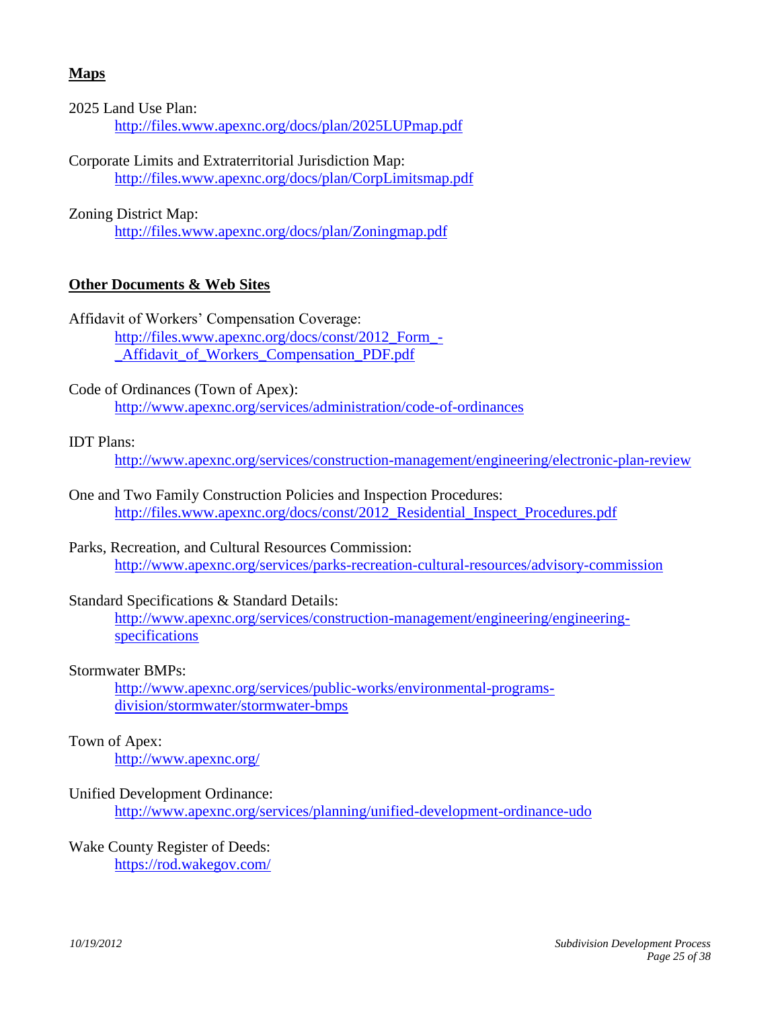## **Maps**

2025 Land Use Plan: <http://files.www.apexnc.org/docs/plan/2025LUPmap.pdf>

Corporate Limits and Extraterritorial Jurisdiction Map: <http://files.www.apexnc.org/docs/plan/CorpLimitsmap.pdf>

Zoning District Map:

<http://files.www.apexnc.org/docs/plan/Zoningmap.pdf>

#### **Other Documents & Web Sites**

Affidavit of Workers' Compensation Coverage: [http://files.www.apexnc.org/docs/const/2012\\_Form\\_-](http://files.www.apexnc.org/docs/const/2012_Form_-_Affidavit_of_Workers_Compensation_PDF.pdf) Affidavit of Workers Compensation PDF.pdf

Code of Ordinances (Town of Apex): <http://www.apexnc.org/services/administration/code-of-ordinances>

#### IDT Plans:

<http://www.apexnc.org/services/construction-management/engineering/electronic-plan-review>

- One and Two Family Construction Policies and Inspection Procedures: [http://files.www.apexnc.org/docs/const/2012\\_Residential\\_Inspect\\_Procedures.pdf](http://files.www.apexnc.org/docs/const/2012_Residential_Inspect_Procedures.pdf)
- Parks, Recreation, and Cultural Resources Commission: <http://www.apexnc.org/services/parks-recreation-cultural-resources/advisory-commission>

#### Standard Specifications & Standard Details:

[http://www.apexnc.org/services/construction-management/engineering/engineering](http://www.apexnc.org/services/construction-management/engineering/engineering-specifications)[specifications](http://www.apexnc.org/services/construction-management/engineering/engineering-specifications)

#### Stormwater BMPs:

[http://www.apexnc.org/services/public-works/environmental-programs](http://www.apexnc.org/services/public-works/environmental-programs-division/stormwater/stormwater-bmps)[division/stormwater/stormwater-bmps](http://www.apexnc.org/services/public-works/environmental-programs-division/stormwater/stormwater-bmps)

#### Town of Apex:

<http://www.apexnc.org/>

#### Unified Development Ordinance:

<http://www.apexnc.org/services/planning/unified-development-ordinance-udo>

#### Wake County Register of Deeds:

<https://rod.wakegov.com/>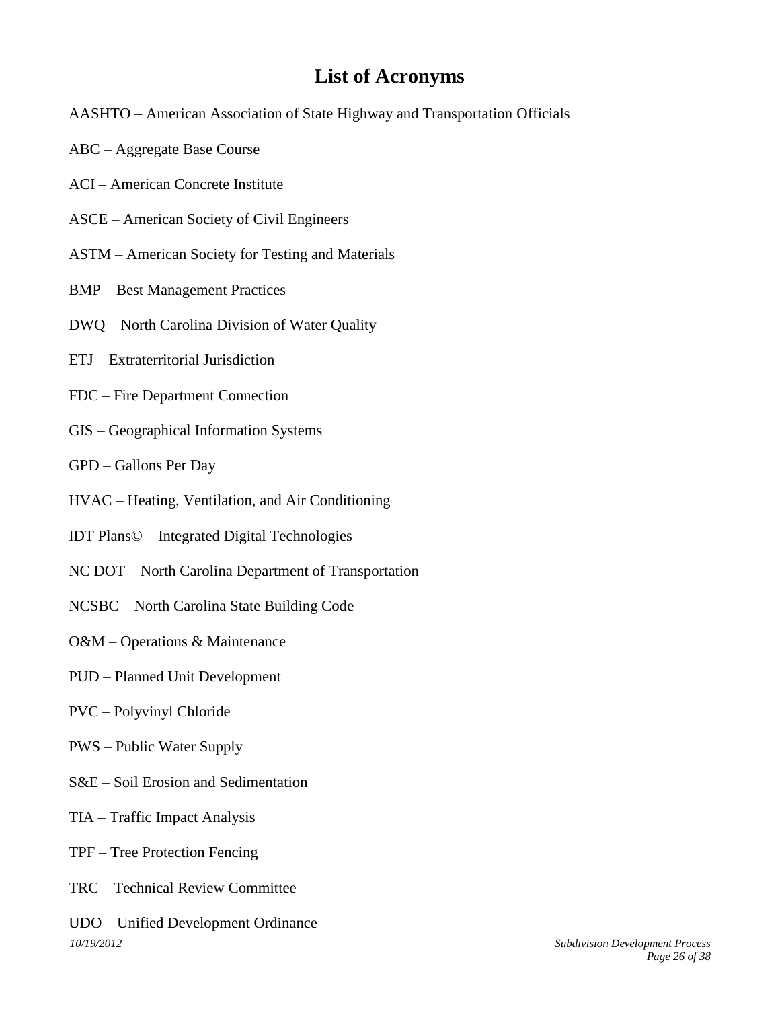# <span id="page-25-0"></span>**List of Acronyms**

- AASHTO American Association of State Highway and Transportation Officials
- ABC Aggregate Base Course
- ACI American Concrete Institute
- ASCE American Society of Civil Engineers
- ASTM American Society for Testing and Materials
- BMP Best Management Practices
- DWQ North Carolina Division of Water Quality
- ETJ Extraterritorial Jurisdiction
- FDC Fire Department Connection
- GIS Geographical Information Systems
- GPD Gallons Per Day
- HVAC Heating, Ventilation, and Air Conditioning
- IDT Plans© Integrated Digital Technologies
- NC DOT North Carolina Department of Transportation
- NCSBC North Carolina State Building Code
- O&M Operations & Maintenance
- PUD Planned Unit Development
- PVC Polyvinyl Chloride
- PWS Public Water Supply
- S&E Soil Erosion and Sedimentation
- TIA Traffic Impact Analysis
- TPF Tree Protection Fencing
- TRC Technical Review Committee
- *10/19/2012 Subdivision Development Process* UDO – Unified Development Ordinance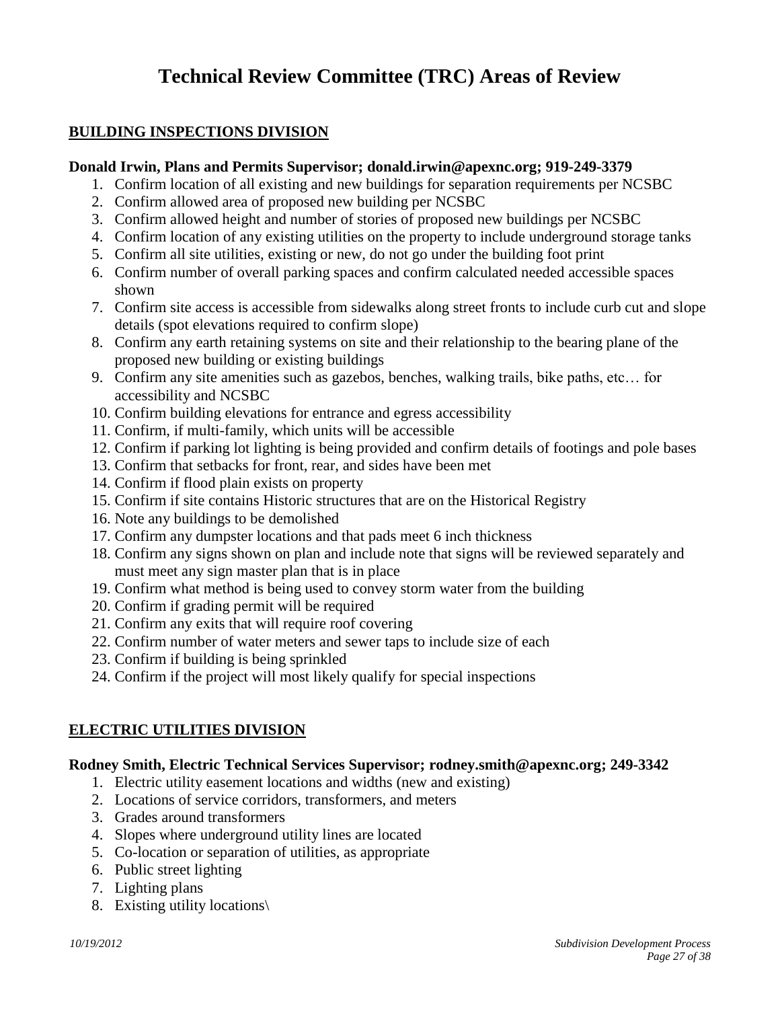# <span id="page-26-1"></span><span id="page-26-0"></span>**Technical Review Committee (TRC) Areas of Review**

## **BUILDING INSPECTIONS DIVISION**

#### **Donald Irwin, Plans and Permits Supervisor; donald.irwin@apexnc.org; 919-249-3379**

- 1. Confirm location of all existing and new buildings for separation requirements per NCSBC
- 2. Confirm allowed area of proposed new building per NCSBC
- 3. Confirm allowed height and number of stories of proposed new buildings per NCSBC
- 4. Confirm location of any existing utilities on the property to include underground storage tanks
- 5. Confirm all site utilities, existing or new, do not go under the building foot print
- 6. Confirm number of overall parking spaces and confirm calculated needed accessible spaces shown
- 7. Confirm site access is accessible from sidewalks along street fronts to include curb cut and slope details (spot elevations required to confirm slope)
- 8. Confirm any earth retaining systems on site and their relationship to the bearing plane of the proposed new building or existing buildings
- 9. Confirm any site amenities such as gazebos, benches, walking trails, bike paths, etc… for accessibility and NCSBC
- 10. Confirm building elevations for entrance and egress accessibility
- 11. Confirm, if multi-family, which units will be accessible
- 12. Confirm if parking lot lighting is being provided and confirm details of footings and pole bases
- 13. Confirm that setbacks for front, rear, and sides have been met
- 14. Confirm if flood plain exists on property
- 15. Confirm if site contains Historic structures that are on the Historical Registry
- 16. Note any buildings to be demolished
- 17. Confirm any dumpster locations and that pads meet 6 inch thickness
- 18. Confirm any signs shown on plan and include note that signs will be reviewed separately and must meet any sign master plan that is in place
- 19. Confirm what method is being used to convey storm water from the building
- 20. Confirm if grading permit will be required
- 21. Confirm any exits that will require roof covering
- 22. Confirm number of water meters and sewer taps to include size of each
- 23. Confirm if building is being sprinkled
- 24. Confirm if the project will most likely qualify for special inspections

## **ELECTRIC UTILITIES DIVISION**

#### **Rodney Smith, Electric Technical Services Supervisor; [rodney.smith@apexnc.org;](mailto:rodney.smith@apexnc.org) 249-3342**

- <span id="page-26-2"></span>1. Electric utility easement locations and widths (new and existing)
- 2. Locations of service corridors, transformers, and meters
- 3. Grades around transformers
- 4. Slopes where underground utility lines are located
- 5. Co-location or separation of utilities, as appropriate
- 6. Public street lighting
- 7. Lighting plans
- 8. Existing utility locations\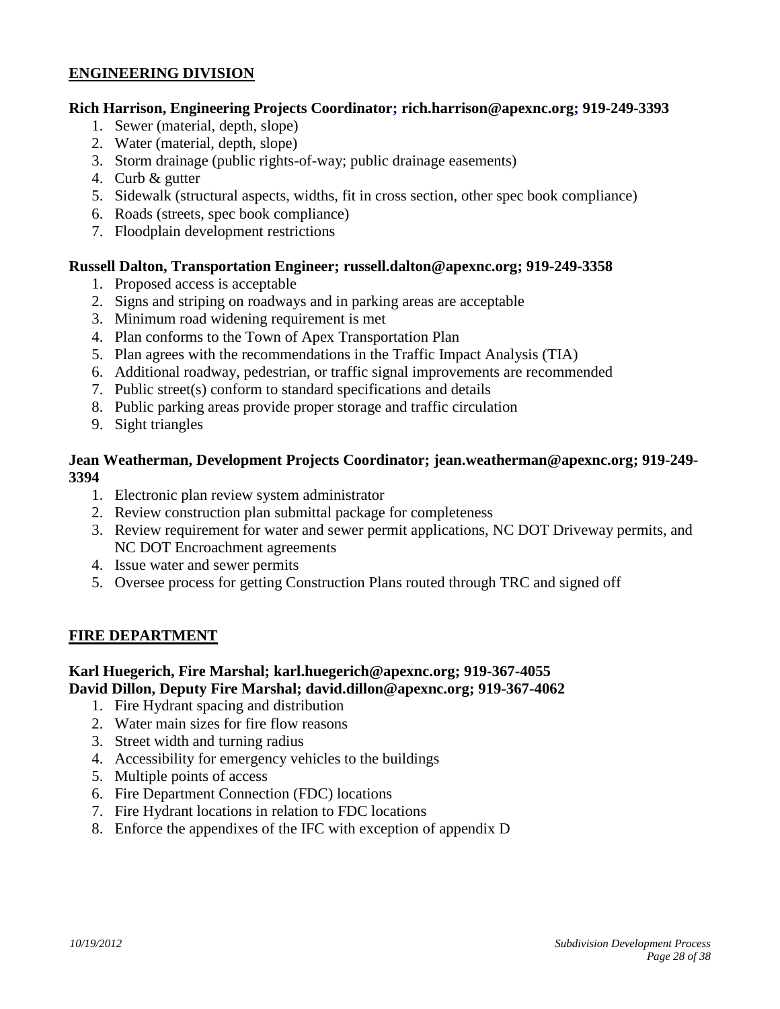## **ENGINEERING DIVISION**

#### **Rich Harrison, Engineering Projects Coordinator; [rich.harrison@apexnc.org;](mailto:rich.harrison@apexnc.org) 919-249-3393**

- <span id="page-27-0"></span>1. Sewer (material, depth, slope)
- 2. Water (material, depth, slope)
- 3. Storm drainage (public rights-of-way; public drainage easements)
- 4. Curb & gutter
- 5. Sidewalk (structural aspects, widths, fit in cross section, other spec book compliance)
- 6. Roads (streets, spec book compliance)
- 7. Floodplain development restrictions

#### **Russell Dalton, Transportation Engineer; [russell.dalton@apexnc.org;](mailto:russell.dalton@apexnc.org) 919-249-3358**

- 1. Proposed access is acceptable
- 2. Signs and striping on roadways and in parking areas are acceptable
- 3. Minimum road widening requirement is met
- 4. Plan conforms to the Town of Apex Transportation Plan
- 5. Plan agrees with the recommendations in the Traffic Impact Analysis (TIA)
- 6. Additional roadway, pedestrian, or traffic signal improvements are recommended
- 7. Public street(s) conform to standard specifications and details
- 8. Public parking areas provide proper storage and traffic circulation
- 9. Sight triangles

#### **Jean Weatherman, Development Projects Coordinator; [jean.weatherman@apexnc.org;](mailto:jean.weatherman@apexnc.org) 919-249- 3394**

- 1. Electronic plan review system administrator
- 2. Review construction plan submittal package for completeness
- 3. Review requirement for water and sewer permit applications, NC DOT Driveway permits, and NC DOT Encroachment agreements
- 4. Issue water and sewer permits
- <span id="page-27-1"></span>5. Oversee process for getting Construction Plans routed through TRC and signed off

#### **FIRE DEPARTMENT**

#### **Karl Huegerich, Fire Marshal; [karl.huegerich@apexnc.org;](mailto:karl.huegerich@apexnc.org) 919-367-4055 David Dillon, Deputy Fire Marshal; [david.dillon@apexnc.org;](mailto:david.dillon@apexnc.org) 919-367-4062**

- 1. Fire Hydrant spacing and distribution
- 2. Water main sizes for fire flow reasons
- 3. Street width and turning radius
- 4. Accessibility for emergency vehicles to the buildings
- 5. Multiple points of access
- 6. Fire Department Connection (FDC) locations
- 7. Fire Hydrant locations in relation to FDC locations
- 8. Enforce the appendixes of the IFC with exception of appendix D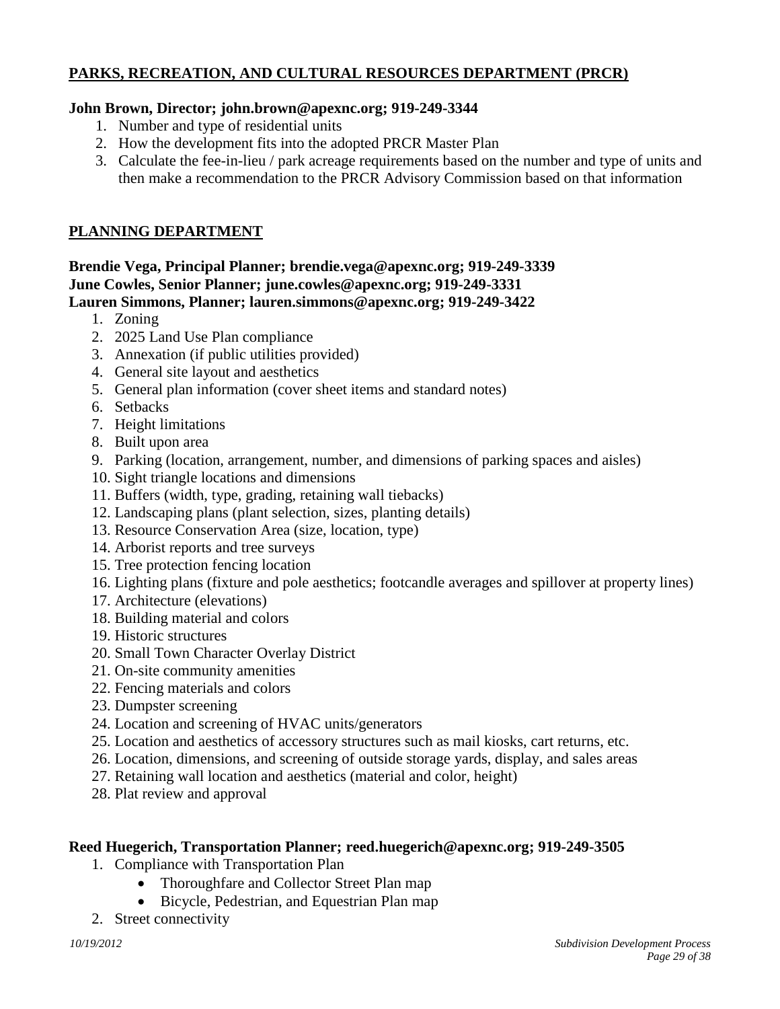## **PARKS, RECREATION, AND CULTURAL RESOURCES DEPARTMENT (PRCR)**

### **John Brown, Director; [john.brown@apexnc.org;](mailto:john.brown@apexnc.org) 919-249-3344**

- <span id="page-28-0"></span>1. Number and type of residential units
- 2. How the development fits into the adopted PRCR Master Plan
- <span id="page-28-1"></span>3. Calculate the fee-in-lieu / park acreage requirements based on the number and type of units and then make a recommendation to the PRCR Advisory Commission based on that information

## **PLANNING DEPARTMENT**

#### **Brendie Vega, Principal Planner; brendie.vega@apexnc.org; 919-249-3339 June Cowles, Senior Planner; [june.cowles@apexnc.org;](mailto:june.cowles@apexnc.org) 919-249-3331 Lauren Simmons, Planner; [lauren.simmons@apexnc.org;](mailto:lauren.simmons@apexnc.org) 919-249-3422**

- 1. Zoning
- 2. 2025 Land Use Plan compliance
- 3. Annexation (if public utilities provided)
- 4. General site layout and aesthetics
- 5. General plan information (cover sheet items and standard notes)
- 6. Setbacks
- 7. Height limitations
- 8. Built upon area
- 9. Parking (location, arrangement, number, and dimensions of parking spaces and aisles)
- 10. Sight triangle locations and dimensions
- 11. Buffers (width, type, grading, retaining wall tiebacks)
- 12. Landscaping plans (plant selection, sizes, planting details)
- 13. Resource Conservation Area (size, location, type)
- 14. Arborist reports and tree surveys
- 15. Tree protection fencing location
- 16. Lighting plans (fixture and pole aesthetics; footcandle averages and spillover at property lines)
- 17. Architecture (elevations)
- 18. Building material and colors
- 19. Historic structures
- 20. Small Town Character Overlay District
- 21. On-site community amenities
- 22. Fencing materials and colors
- 23. Dumpster screening
- 24. Location and screening of HVAC units/generators
- 25. Location and aesthetics of accessory structures such as mail kiosks, cart returns, etc.
- 26. Location, dimensions, and screening of outside storage yards, display, and sales areas
- 27. Retaining wall location and aesthetics (material and color, height)
- 28. Plat review and approval

## **Reed Huegerich, Transportation Planner; [reed.huegerich@apexnc.org;](mailto:reed.huegerich@apexnc.org) 919-249-3505**

- 1. Compliance with Transportation Plan
	- Thoroughfare and Collector Street Plan map
	- Bicycle, Pedestrian, and Equestrian Plan map
- 2. Street connectivity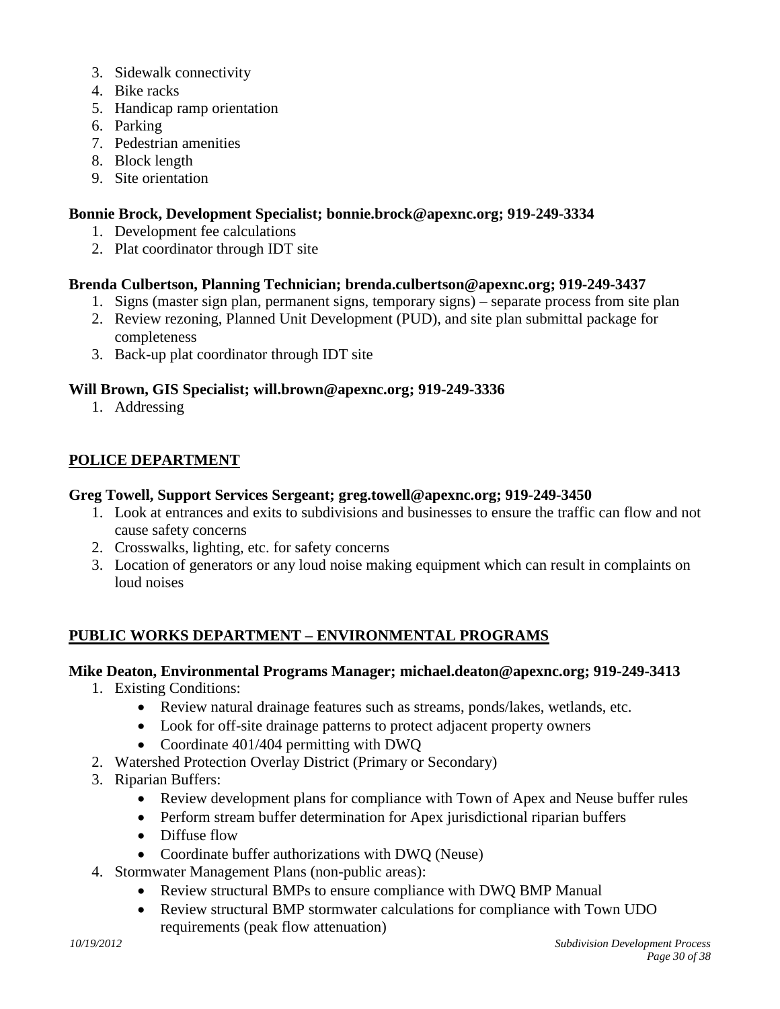- 3. Sidewalk connectivity
- 4. Bike racks
- 5. Handicap ramp orientation
- 6. Parking
- 7. Pedestrian amenities
- 8. Block length
- 9. Site orientation

#### **Bonnie Brock, Development Specialist; [bonnie.brock@apexnc.org;](mailto:bonnie.brock@apexnc.org) 919-249-3334**

- 1. Development fee calculations
- 2. Plat coordinator through IDT site

#### **Brenda Culbertson, Planning Technician; [brenda.culbertson@apexnc.org;](mailto:brenda.culbertson@apexnc.org) 919-249-3437**

- 1. Signs (master sign plan, permanent signs, temporary signs) separate process from site plan
- 2. Review rezoning, Planned Unit Development (PUD), and site plan submittal package for completeness
- 3. Back-up plat coordinator through IDT site

#### **Will Brown, GIS Specialist; [will.brown@apexnc.org;](mailto:will.brown@apexnc.org) 919-249-3336**

<span id="page-29-0"></span>1. Addressing

#### **POLICE DEPARTMENT**

#### **Greg Towell, Support Services Sergeant; greg.towell@apexnc.org; 919-249-3450**

- 1. Look at entrances and exits to subdivisions and businesses to ensure the traffic can flow and not cause safety concerns
- 2. Crosswalks, lighting, etc. for safety concerns
- 3. Location of generators or any loud noise making equipment which can result in complaints on loud noises

## **PUBLIC WORKS DEPARTMENT – ENVIRONMENTAL PROGRAMS**

## **Mike Deaton, Environmental Programs Manager; [michael.deaton@apexnc.org;](mailto:michael.deaton@apexnc.org) 919-249-3413**

- <span id="page-29-1"></span>1. Existing Conditions:
	- Review natural drainage features such as streams, ponds/lakes, wetlands, etc.
	- Look for off-site drainage patterns to protect adjacent property owners
	- Coordinate 401/404 permitting with DWO
- 2. Watershed Protection Overlay District (Primary or Secondary)
- 3. Riparian Buffers:
	- Review development plans for compliance with Town of Apex and Neuse buffer rules
	- Perform stream buffer determination for Apex jurisdictional riparian buffers
	- Diffuse flow
	- Coordinate buffer authorizations with DWO (Neuse)
- 4. Stormwater Management Plans (non-public areas):
	- Review structural BMPs to ensure compliance with DWQ BMP Manual
	- Review structural BMP stormwater calculations for compliance with Town UDO requirements (peak flow attenuation)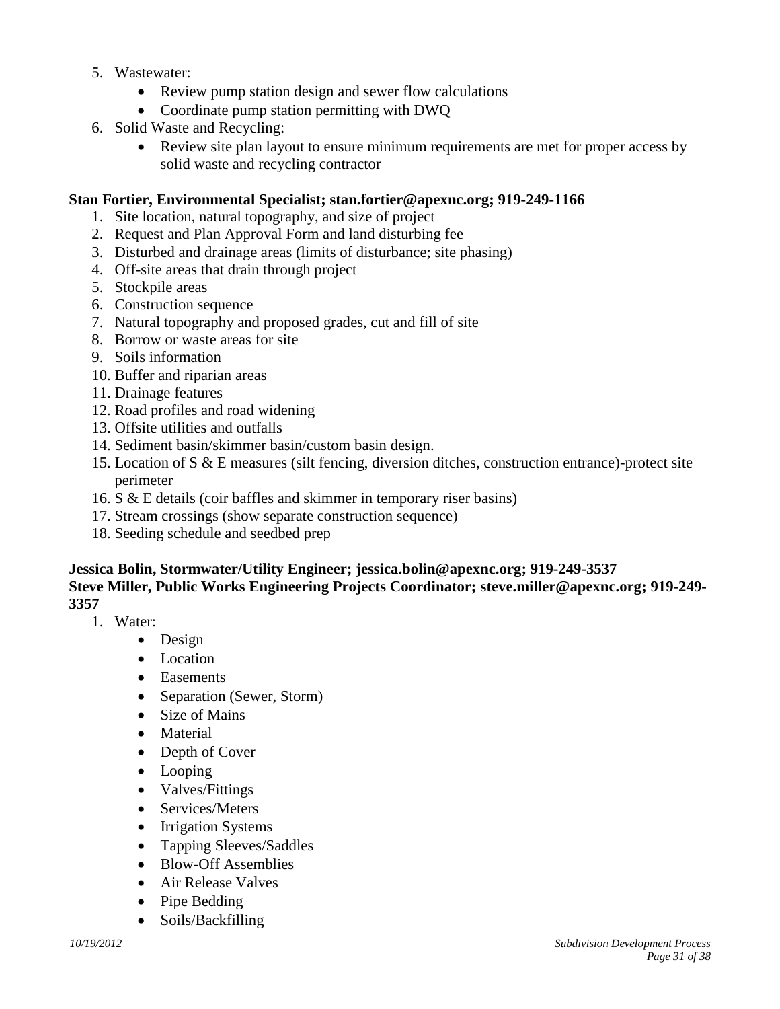- 5. Wastewater:
	- Review pump station design and sewer flow calculations
	- Coordinate pump station permitting with DWQ
- 6. Solid Waste and Recycling:
	- Review site plan layout to ensure minimum requirements are met for proper access by solid waste and recycling contractor

#### **Stan Fortier, Environmental Specialist; stan.fortier@apexnc.org; 919-249-1166**

- 1. Site location, natural topography, and size of project
- 2. Request and Plan Approval Form and land disturbing fee
- 3. Disturbed and drainage areas (limits of disturbance; site phasing)
- 4. Off-site areas that drain through project
- 5. Stockpile areas
- 6. Construction sequence
- 7. Natural topography and proposed grades, cut and fill of site
- 8. Borrow or waste areas for site
- 9. Soils information
- 10. Buffer and riparian areas
- 11. Drainage features
- 12. Road profiles and road widening
- 13. Offsite utilities and outfalls
- 14. Sediment basin/skimmer basin/custom basin design.
- 15. Location of S & E measures (silt fencing, diversion ditches, construction entrance)-protect site perimeter
- 16. S & E details (coir baffles and skimmer in temporary riser basins)
- 17. Stream crossings (show separate construction sequence)
- 18. Seeding schedule and seedbed prep

#### **Jessica Bolin, Stormwater/Utility Engineer; [jessica.bolin@apexnc.org;](mailto:jessica.bolin@apexnc.org) 919-249-3537 Steve Miller, Public Works Engineering Projects Coordinator; [steve.miller@apexnc.org;](mailto:steve.miller@apexnc.org) 919-249- 3357**

- 1. Water:
	- Design
	- Location
	- Easements
	- Separation (Sewer, Storm)
	- Size of Mains
	- Material
	- Depth of Cover
	- Looping
	- Valves/Fittings
	- Services/Meters
	- Irrigation Systems
	- Tapping Sleeves/Saddles
	- Blow-Off Assemblies
	- Air Release Valves
	- Pipe Bedding
	- Soils/Backfilling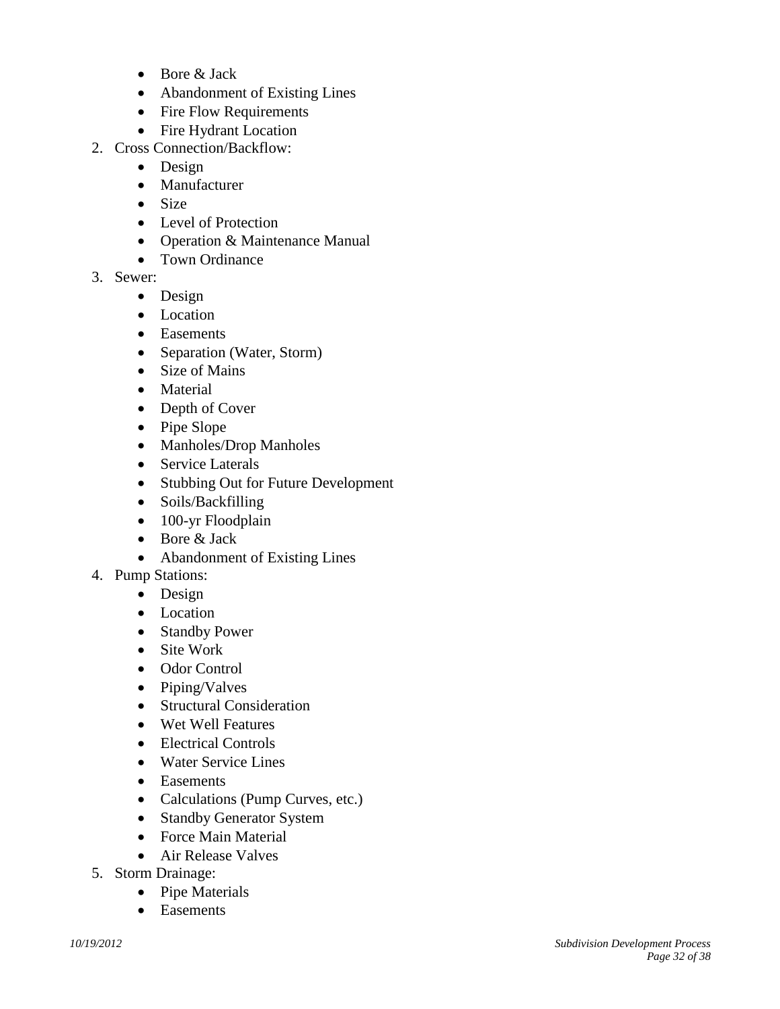- Bore & Jack
- Abandonment of Existing Lines
- Fire Flow Requirements
- Fire Hydrant Location
- 2. Cross Connection/Backflow:
	- Design
	- Manufacturer
	- Size
	- Level of Protection
	- Operation & Maintenance Manual
	- Town Ordinance
- 3. Sewer:
	- Design
	- Location
	- Easements
	- Separation (Water, Storm)
	- Size of Mains
	- Material
	- Depth of Cover
	- Pipe Slope
	- Manholes/Drop Manholes
	- Service Laterals
	- Stubbing Out for Future Development
	- Soils/Backfilling
	- 100-yr Floodplain
	- Bore & Jack
	- Abandonment of Existing Lines
- 4. Pump Stations:
	- Design
	- Location
	- Standby Power
	- Site Work
	- Odor Control
	- Piping/Valves
	- Structural Consideration
	- Wet Well Features
	- Electrical Controls
	- Water Service Lines
	- Easements
	- Calculations (Pump Curves, etc.)
	- Standby Generator System
	- Force Main Material
	- Air Release Valves
- 5. Storm Drainage:
	- Pipe Materials
	- Easements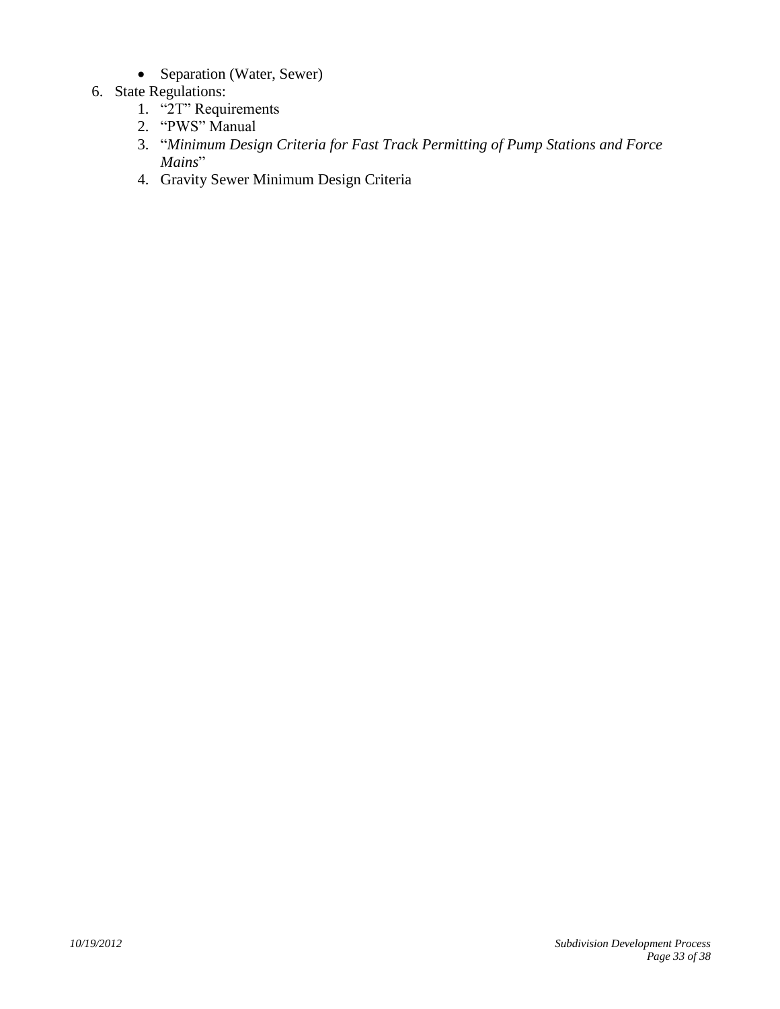• Separation (Water, Sewer)

## 6. State Regulations:

- 1. "2T" Requirements
- 2. "PWS" Manual
- 3. "*Minimum Design Criteria for Fast Track Permitting of Pump Stations and Force Mains*"
- 4. Gravity Sewer Minimum Design Criteria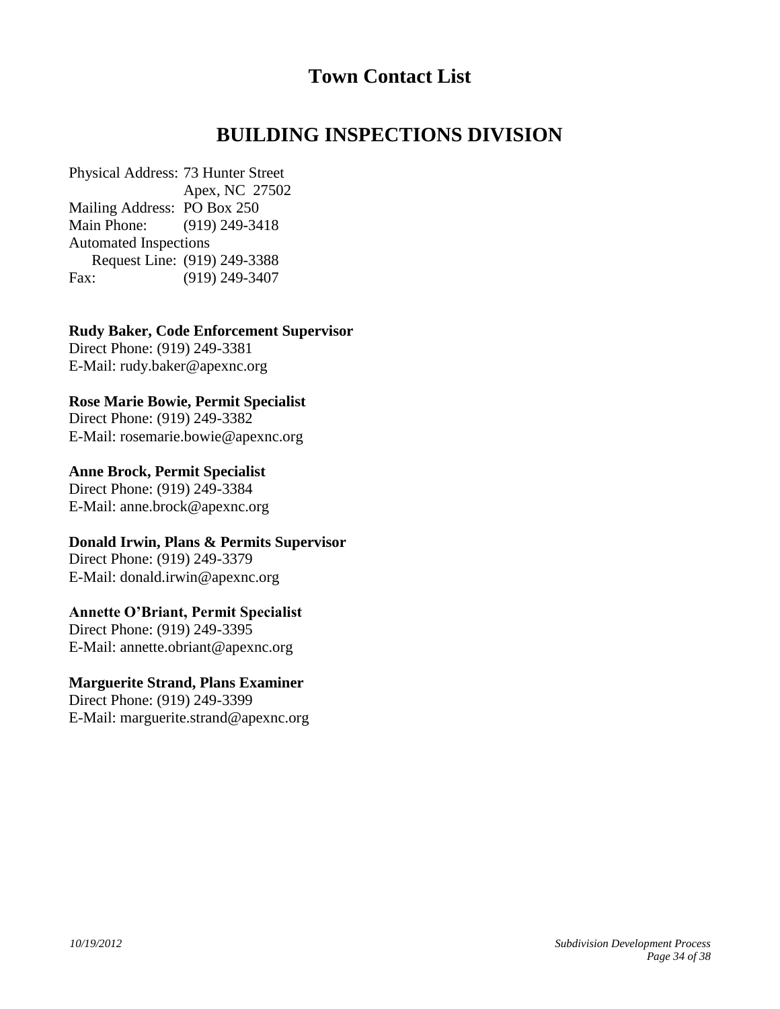# <span id="page-33-1"></span><span id="page-33-0"></span>**Town Contact List**

# **BUILDING INSPECTIONS DIVISION**

Physical Address: 73 Hunter Street Apex, NC 27502 Mailing Address: PO Box 250 Main Phone: (919) 249-3418 Automated Inspections Request Line: (919) 249-3388 Fax: (919) 249-3407

**Rudy Baker, Code Enforcement Supervisor**

Direct Phone: (919) 249-3381 E-Mail: [rudy.baker@apexnc.org](mailto:rudy.baker@apexnc.org)

## **Rose Marie Bowie, Permit Specialist**

Direct Phone: (919) 249-3382 E-Mail: [rosemarie.bowie@apexnc.org](mailto:rosemarie.bowie@apexnc.org)

**Anne Brock, Permit Specialist** Direct Phone: (919) 249-3384 E-Mail: [anne.brock@apexnc.org](mailto:anne.brock@apexnc.org)

## **Donald Irwin, Plans & Permits Supervisor**

Direct Phone: (919) 249-3379 E-Mail: donald.irwin@apexnc.org

## **Annette O'Briant, Permit Specialist**

Direct Phone: (919) 249-3395 E-Mail: [annette.obriant@apexnc.org](mailto:annette.obriant@apexnc.org)

## **Marguerite Strand, Plans Examiner**

Direct Phone: (919) 249-3399 E-Mail: [marguerite.strand@apexnc.org](mailto:marguerite.strand@apexnc.org)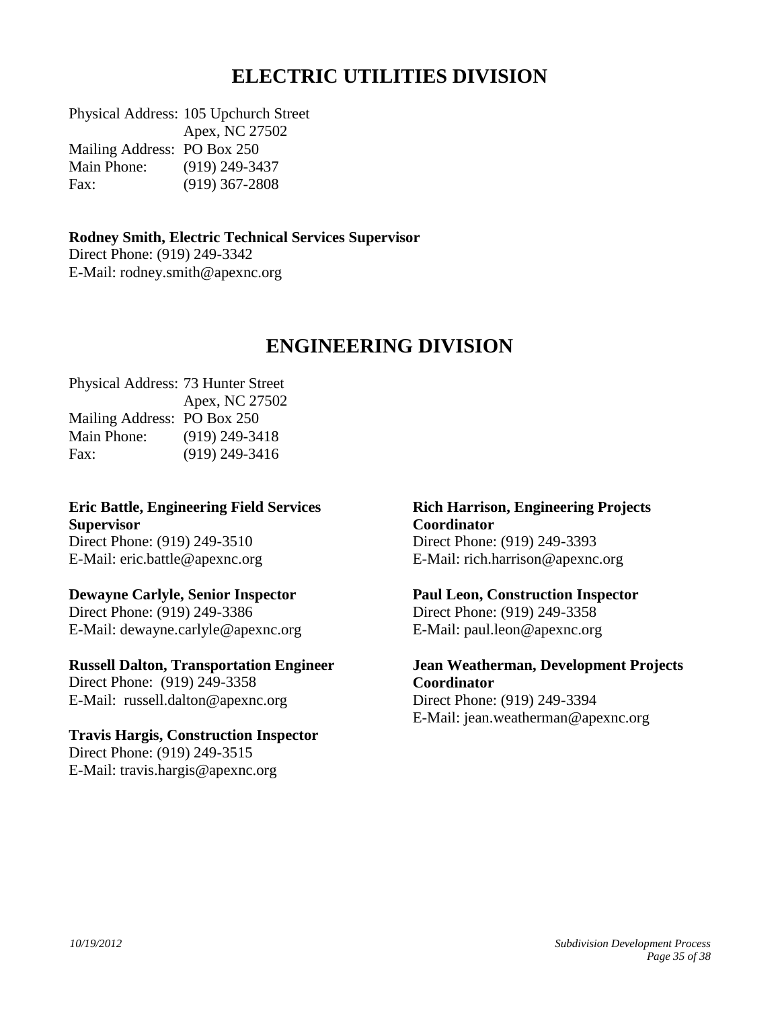# <span id="page-34-0"></span>**ELECTRIC UTILITIES DIVISION**

Physical Address: 105 Upchurch Street Apex, NC 27502 Mailing Address: PO Box 250 Main Phone: (919) 249-3437 Fax: (919) 367-2808

**Rodney Smith, Electric Technical Services Supervisor** Direct Phone: (919) 249-3342 E-Mail: [rodney.smith@apexnc.org](mailto:rodney.smith@apexnc.org)

## **ENGINEERING DIVISION**

Physical Address: 73 Hunter Street Apex, NC 27502 Mailing Address: PO Box 250 Main Phone: (919) 249-3418 Fax: (919) 249-3416

**Eric Battle, Engineering Field Services Supervisor** Direct Phone: (919) 249-3510 E-Mail: [eric.battle@apexnc.org](mailto:eric.battle@apexnc.org)

## **Dewayne Carlyle, Senior Inspector**

Direct Phone: (919) 249-3386 E-Mail: dewayne.carlyle@apexnc.org

**Russell Dalton, Transportation Engineer** Direct Phone: (919) 249-3358 E-Mail: [russell.dalton@apexnc.org](mailto:russell.dalton@apexnc.org)

**Travis Hargis, Construction Inspector** Direct Phone: (919) 249-3515 E-Mail: travis.hargis@apexnc.org

<span id="page-34-1"></span>**Rich Harrison, Engineering Projects Coordinator** Direct Phone: (919) 249-3393 E-Mail: rich.harrison@apexnc.org

**Paul Leon, Construction Inspector** Direct Phone: (919) 249-3358 E-Mail: paul.leon@apexnc.org

**Jean Weatherman, Development Projects Coordinator** Direct Phone: (919) 249-3394 E-Mail: [jean.weatherman@apexnc.org](mailto:jean.weatherman@apexnc.org)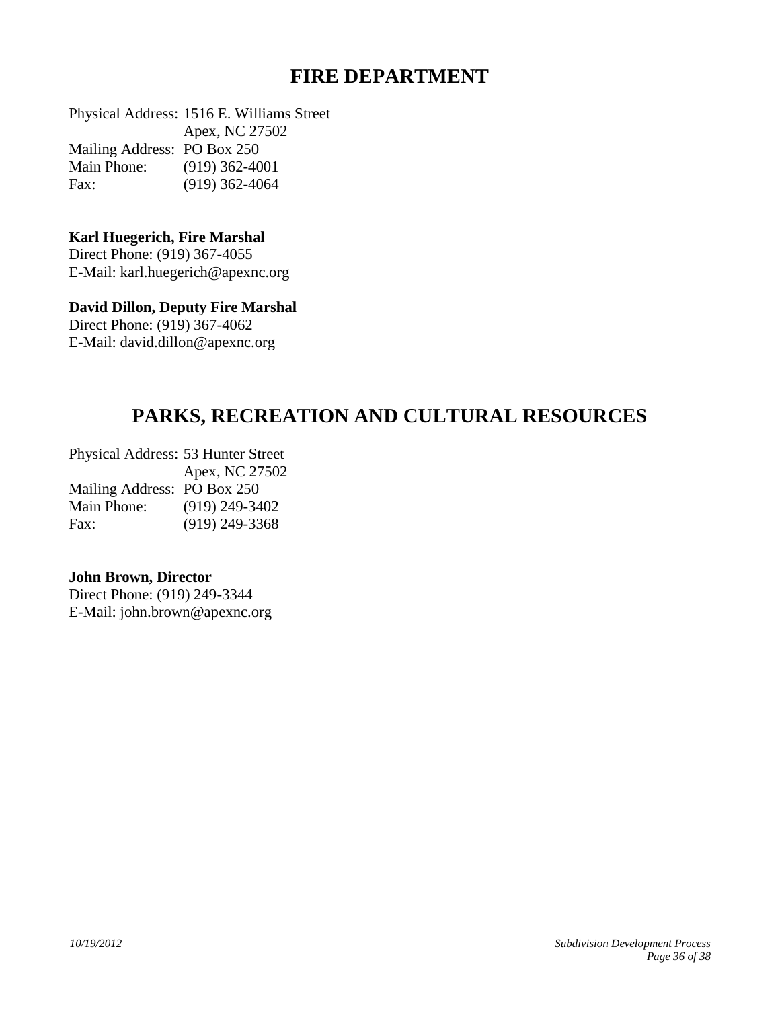## <span id="page-35-1"></span><span id="page-35-0"></span>**FIRE DEPARTMENT**

Physical Address: 1516 E. Williams Street Apex, NC 27502 Mailing Address: PO Box 250 Main Phone: (919) 362-4001 Fax: (919) 362-4064

#### **Karl Huegerich, Fire Marshal**

Direct Phone: (919) 367-4055 E-Mail: [karl.huegerich@apexnc.org](mailto:karl.huegerich@apexnc.org)

## **David Dillon, Deputy Fire Marshal**

Direct Phone: (919) 367-4062 E-Mail: [david.dillon@apexnc.org](mailto:karl.huegerich@apexnc.org)

# **PARKS, RECREATION AND CULTURAL RESOURCES**

Physical Address: 53 Hunter Street Apex, NC 27502 Mailing Address: PO Box 250 Main Phone: (919) 249-3402 Fax: (919) 249-3368

#### **John Brown, Director**

Direct Phone: (919) 249-3344 E-Mail: [john.brown@apexnc.org](mailto:john.brown@apexnc.org)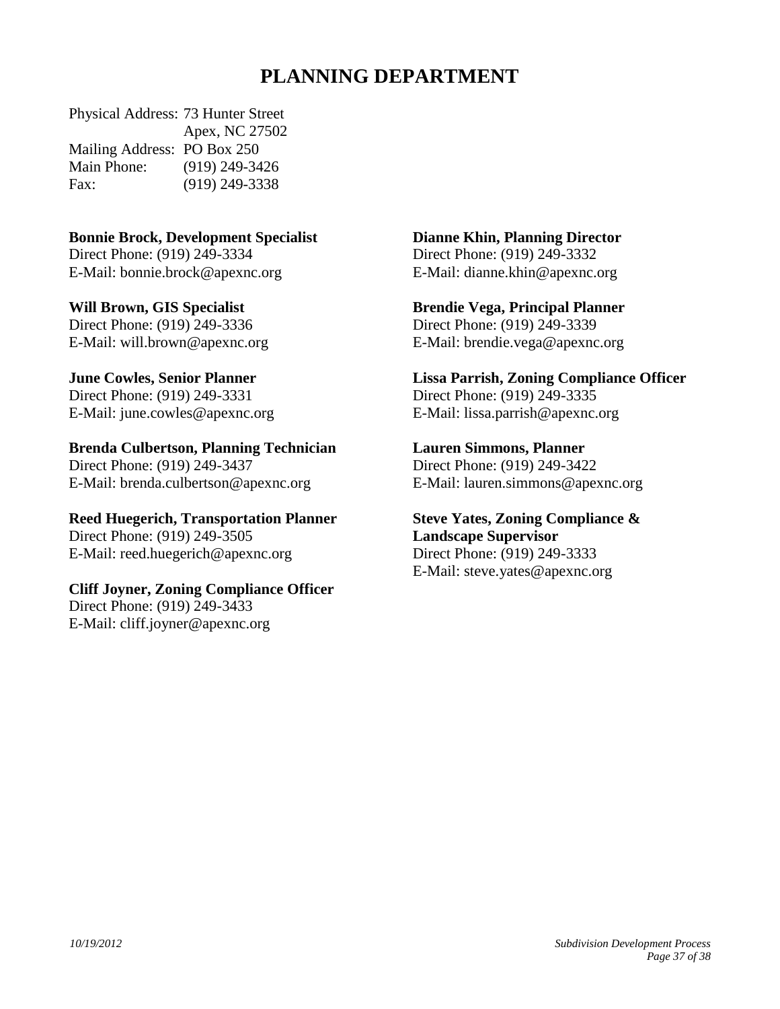# **PLANNING DEPARTMENT**

Physical Address: 73 Hunter Street Apex, NC 27502 Mailing Address: PO Box 250 Main Phone: (919) 249-3426 Fax: (919) 249-3338

## **Bonnie Brock, Development Specialist**

Direct Phone: (919) 249-3334 E-Mail: [bonnie.brock@apexnc.org](mailto:bonnie.brock@apexnc.org)

**Will Brown, GIS Specialist** Direct Phone: (919) 249-3336 E-Mail: [will.brown@apexnc.org](mailto:will.brown@apexnc.org)

**June Cowles, Senior Planner** Direct Phone: (919) 249-3331

E-Mail: [june.cowles@apexnc.org](mailto:june.cowles@apexnc.org)

## **Brenda Culbertson, Planning Technician**

Direct Phone: (919) 249-3437 E-Mail: [brenda.culbertson@apexnc.org](mailto:brenda.culbertson@apexnc.org)

**Reed Huegerich, Transportation Planner** Direct Phone: (919) 249-3505

E-Mail: [reed.huegerich@apexnc.org](mailto:reed.huegerich@apexnc.org)

## **Cliff Joyner, Zoning Compliance Officer**

Direct Phone: (919) 249-3433 E-Mail: [cliff.joyner@apexnc.org](mailto:cliff.joyner@apexnc.org) <span id="page-36-0"></span>**Dianne Khin, Planning Director**

Direct Phone: (919) 249-3332 E-Mail: [dianne.khin@apexnc.org](mailto:dianne.khin@apexnc.org)

**Brendie Vega, Principal Planner** Direct Phone: (919) 249-3339 E-Mail: brendie.vega@apexnc.org

**Lissa Parrish, Zoning Compliance Officer** Direct Phone: (919) 249-3335 E-Mail: [lissa.parrish@apexnc.org](mailto:lissa.parrish@apexnc.org)

## **Lauren Simmons, Planner**

Direct Phone: (919) 249-3422 E-Mail: [lauren.simmons@apexnc.org](mailto:lauren.simmons@apexnc.org)

**Steve Yates, Zoning Compliance & Landscape Supervisor** Direct Phone: (919) 249-3333 E-Mail: [steve.yates@apexnc.org](mailto:steve.yates@apexnc.org)